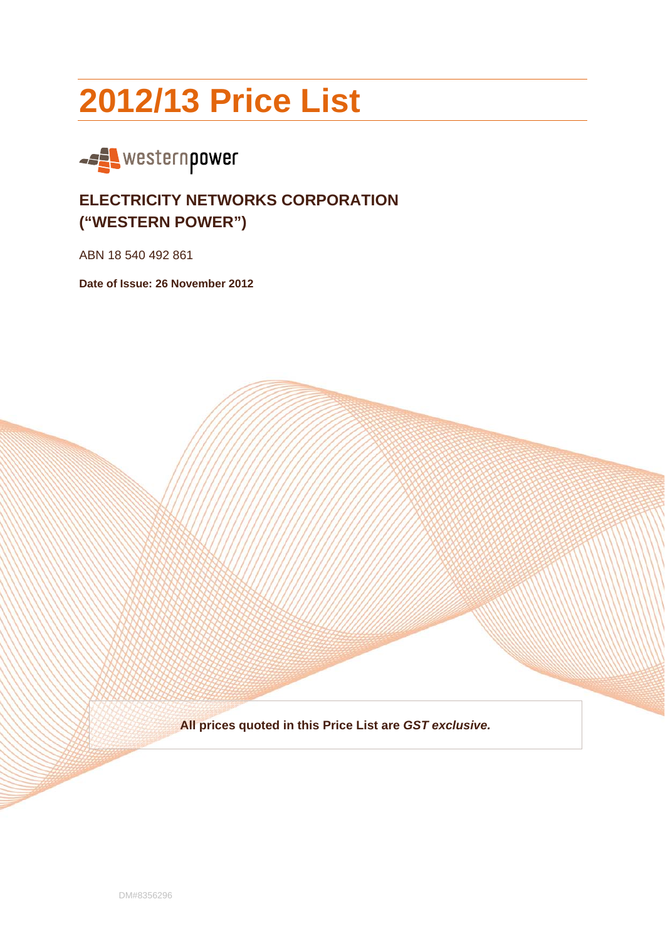# **2012/13 Price List**



# **ELECTRICITY NETWORKS CORPORATION ("WESTERN POWER")**

ABN 18 540 492 861

**Date of Issue: 26 November 2012** 

**All prices quoted in this Price List are** *GST exclusive.*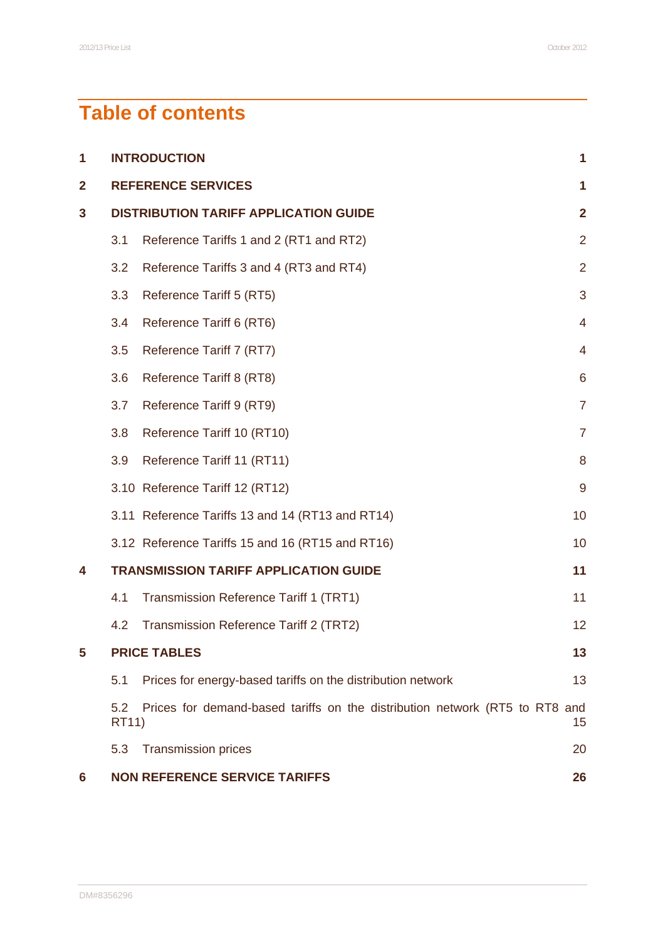# **Table of contents**

| 1            | <b>INTRODUCTION</b>                          |                                                                             |                |
|--------------|----------------------------------------------|-----------------------------------------------------------------------------|----------------|
| $\mathbf{2}$ | <b>REFERENCE SERVICES</b><br>1               |                                                                             |                |
| 3            | <b>DISTRIBUTION TARIFF APPLICATION GUIDE</b> |                                                                             |                |
|              | 3.1                                          | Reference Tariffs 1 and 2 (RT1 and RT2)                                     | $\overline{2}$ |
|              | 3.2                                          | Reference Tariffs 3 and 4 (RT3 and RT4)                                     | $\overline{2}$ |
|              | 3.3                                          | Reference Tariff 5 (RT5)                                                    | 3              |
|              | 3.4                                          | Reference Tariff 6 (RT6)                                                    | $\overline{4}$ |
|              | 3.5                                          | Reference Tariff 7 (RT7)                                                    | 4              |
|              | 3.6                                          | Reference Tariff 8 (RT8)                                                    | 6              |
|              | 3.7                                          | Reference Tariff 9 (RT9)                                                    | $\overline{7}$ |
|              | 3.8                                          | Reference Tariff 10 (RT10)                                                  | $\overline{7}$ |
|              | 3.9                                          | Reference Tariff 11 (RT11)                                                  | 8              |
|              |                                              | 3.10 Reference Tariff 12 (RT12)                                             | $\overline{9}$ |
|              |                                              | 3.11 Reference Tariffs 13 and 14 (RT13 and RT14)                            | 10             |
|              |                                              | 3.12 Reference Tariffs 15 and 16 (RT15 and RT16)                            | 10             |
| 4            |                                              | <b>TRANSMISSION TARIFF APPLICATION GUIDE</b>                                | 11             |
|              | 4.1                                          | Transmission Reference Tariff 1 (TRT1)                                      | 11             |
|              | 4.2                                          | Transmission Reference Tariff 2 (TRT2)                                      | 12             |
| 5            |                                              | <b>PRICE TABLES</b>                                                         | 13             |
|              | 5.1                                          | Prices for energy-based tariffs on the distribution network                 | 13             |
|              | 5.2<br><b>RT11)</b>                          | Prices for demand-based tariffs on the distribution network (RT5 to RT8 and | 15             |
|              | 5.3                                          | <b>Transmission prices</b>                                                  | 20             |
| 6            |                                              | <b>NON REFERENCE SERVICE TARIFFS</b>                                        | 26             |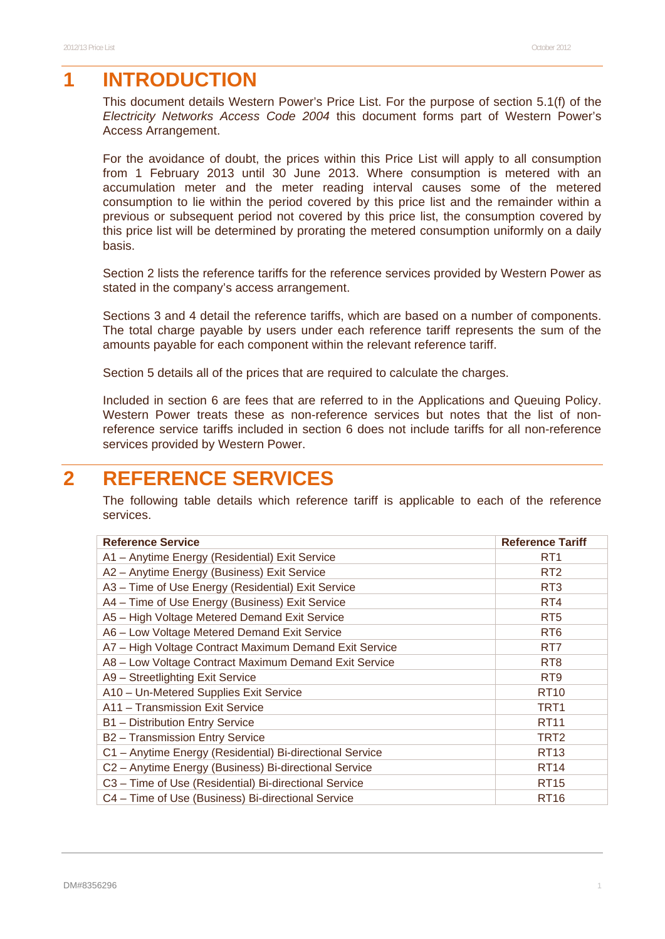# **1 INTRODUCTION**

This document details Western Power's Price List. For the purpose of section 5.1(f) of the *Electricity Networks Access Code 2004* this document forms part of Western Power's Access Arrangement.

For the avoidance of doubt, the prices within this Price List will apply to all consumption from 1 February 2013 until 30 June 2013. Where consumption is metered with an accumulation meter and the meter reading interval causes some of the metered consumption to lie within the period covered by this price list and the remainder within a previous or subsequent period not covered by this price list, the consumption covered by this price list will be determined by prorating the metered consumption uniformly on a daily basis.

Section 2 lists the reference tariffs for the reference services provided by Western Power as stated in the company's access arrangement.

Sections 3 and 4 detail the reference tariffs, which are based on a number of components. The total charge payable by users under each reference tariff represents the sum of the amounts payable for each component within the relevant reference tariff.

Section 5 details all of the prices that are required to calculate the charges.

Included in section 6 are fees that are referred to in the Applications and Queuing Policy. Western Power treats these as non-reference services but notes that the list of nonreference service tariffs included in section 6 does not include tariffs for all non-reference services provided by Western Power.

# **2 REFERENCE SERVICES**

The following table details which reference tariff is applicable to each of the reference services.

| <b>Reference Service</b>                                 | <b>Reference Tariff</b> |
|----------------------------------------------------------|-------------------------|
| A1 - Anytime Energy (Residential) Exit Service           | RT <sub>1</sub>         |
| A2 - Anytime Energy (Business) Exit Service              | RT <sub>2</sub>         |
| A3 - Time of Use Energy (Residential) Exit Service       | RT <sub>3</sub>         |
| A4 - Time of Use Energy (Business) Exit Service          | RT4                     |
| A5 - High Voltage Metered Demand Exit Service            | RT <sub>5</sub>         |
| A6 - Low Voltage Metered Demand Exit Service             | RT <sub>6</sub>         |
| A7 - High Voltage Contract Maximum Demand Exit Service   | RT7                     |
| A8 - Low Voltage Contract Maximum Demand Exit Service    | RT <sub>8</sub>         |
| A9 - Streetlighting Exit Service                         | RT <sub>9</sub>         |
| A10 - Un-Metered Supplies Exit Service                   | <b>RT10</b>             |
| A11 - Transmission Exit Service                          | TRT <sub>1</sub>        |
| B1 - Distribution Entry Service                          | <b>RT11</b>             |
| B2 - Transmission Entry Service                          | TRT <sub>2</sub>        |
| C1 - Anytime Energy (Residential) Bi-directional Service | <b>RT13</b>             |
| C2 - Anytime Energy (Business) Bi-directional Service    | <b>RT14</b>             |
| C3 - Time of Use (Residential) Bi-directional Service    | <b>RT15</b>             |
| C4 - Time of Use (Business) Bi-directional Service       | <b>RT16</b>             |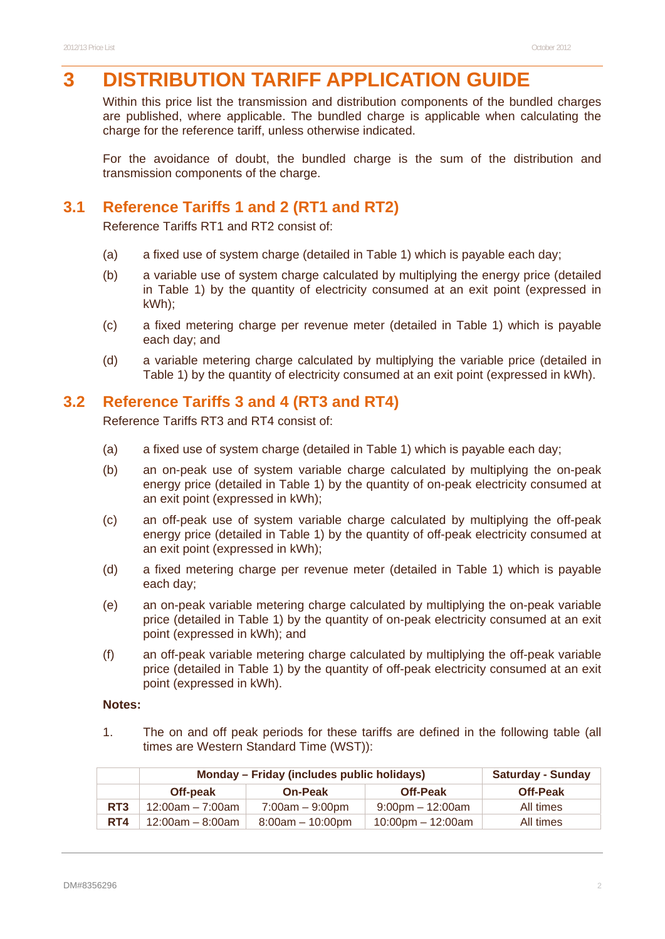# **3 DISTRIBUTION TARIFF APPLICATION GUIDE**

Within this price list the transmission and distribution components of the bundled charges are published, where applicable. The bundled charge is applicable when calculating the charge for the reference tariff, unless otherwise indicated.

For the avoidance of doubt, the bundled charge is the sum of the distribution and transmission components of the charge.

### **3.1 Reference Tariffs 1 and 2 (RT1 and RT2)**

Reference Tariffs RT1 and RT2 consist of:

- (a) a fixed use of system charge (detailed in Table 1) which is payable each day;
- (b) a variable use of system charge calculated by multiplying the energy price (detailed in Table 1) by the quantity of electricity consumed at an exit point (expressed in kWh);
- (c) a fixed metering charge per revenue meter (detailed in Table 1) which is payable each day; and
- (d) a variable metering charge calculated by multiplying the variable price (detailed in Table 1) by the quantity of electricity consumed at an exit point (expressed in kWh).

### **3.2 Reference Tariffs 3 and 4 (RT3 and RT4)**

Reference Tariffs RT3 and RT4 consist of:

- (a) a fixed use of system charge (detailed in Table 1) which is payable each day;
- (b) an on-peak use of system variable charge calculated by multiplying the on-peak energy price (detailed in Table 1) by the quantity of on-peak electricity consumed at an exit point (expressed in kWh);
- (c) an off-peak use of system variable charge calculated by multiplying the off-peak energy price (detailed in Table 1) by the quantity of off-peak electricity consumed at an exit point (expressed in kWh);
- (d) a fixed metering charge per revenue meter (detailed in Table 1) which is payable each day;
- (e) an on-peak variable metering charge calculated by multiplying the on-peak variable price (detailed in Table 1) by the quantity of on-peak electricity consumed at an exit point (expressed in kWh); and
- (f) an off-peak variable metering charge calculated by multiplying the off-peak variable price (detailed in Table 1) by the quantity of off-peak electricity consumed at an exit point (expressed in kWh).

#### **Notes:**

1. The on and off peak periods for these tariffs are defined in the following table (all times are Western Standard Time (WST)):

|     | Monday – Friday (includes public holidays) |                    |                         | <b>Saturday - Sunday</b> |
|-----|--------------------------------------------|--------------------|-------------------------|--------------------------|
|     | Off-peak                                   | <b>On-Peak</b>     | <b>Off-Peak</b>         | <b>Off-Peak</b>          |
| RT3 | $12:00$ am – 7:00am                        | $7:00am - 9:00pm$  | $9:00$ pm $-12:00$ am   | All times                |
| RT4 | $12:00$ am – 8:00am                        | $8:00am - 10:00pm$ | $10:00$ pm $- 12:00$ am | All times                |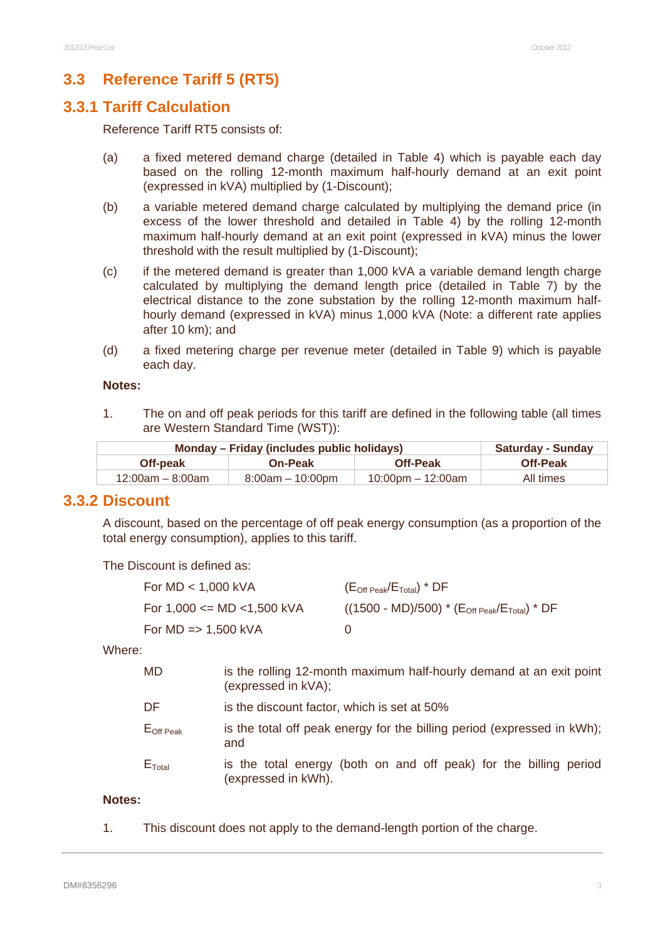# **3.3 Reference Tariff 5 (RT5)**

#### **3.3.1 Tariff Calculation**

Reference Tariff RT5 consists of:

- (a) a fixed metered demand charge (detailed in Table 4) which is payable each day based on the rolling 12-month maximum half-hourly demand at an exit point (expressed in kVA) multiplied by (1-Discount);
- (b) a variable metered demand charge calculated by multiplying the demand price (in excess of the lower threshold and detailed in Table 4) by the rolling 12-month maximum half-hourly demand at an exit point (expressed in kVA) minus the lower threshold with the result multiplied by (1-Discount);
- (c) if the metered demand is greater than 1,000 kVA a variable demand length charge calculated by multiplying the demand length price (detailed in Table 7) by the electrical distance to the zone substation by the rolling 12-month maximum halfhourly demand (expressed in kVA) minus 1,000 kVA (Note: a different rate applies after 10 km); and
- (d) a fixed metering charge per revenue meter (detailed in Table 9) which is payable each day.

#### **Notes:**

1. The on and off peak periods for this tariff are defined in the following table (all times are Western Standard Time (WST)):

| Monday – Friday (includes public holidays) | <b>Saturday - Sunday</b> |                   |                 |
|--------------------------------------------|--------------------------|-------------------|-----------------|
| Off-peak                                   | <b>On-Peak</b>           | <b>Off-Peak</b>   | <b>Off-Peak</b> |
| $12:00$ am – 8:00am                        | $8:00am - 10:00pm$       | 10:00pm – 12:00am | All times       |

#### **3.3.2 Discount**

A discount, based on the percentage of off peak energy consumption (as a proportion of the total energy consumption), applies to this tariff.

The Discount is defined as:

| For $MD < 1,000$ kVA               | (E <sub>Off Peak</sub> /E <sub>Total</sub> ) * DF                   |
|------------------------------------|---------------------------------------------------------------------|
| For $1,000 \leq MD \leq 1,500$ kVA | $((1500 - MD)/500)$ * $(E_{\text{Off Peak}}/E_{\text{Total}})$ * DF |
| For $MD \implies 1,500$ kVA        |                                                                     |

Where:

| MD                    | is the rolling 12-month maximum half-hourly demand at an exit point<br>(expressed in kVA); |
|-----------------------|--------------------------------------------------------------------------------------------|
| DF                    | is the discount factor, which is set at 50%                                                |
| $E_{\text{Off Peak}}$ | is the total off peak energy for the billing period (expressed in kWh);<br>and             |
| $E_{\text{Total}}$    | is the total energy (both on and off peak) for the billing period<br>(expressed in kWh).   |

#### **Notes:**

1. This discount does not apply to the demand-length portion of the charge.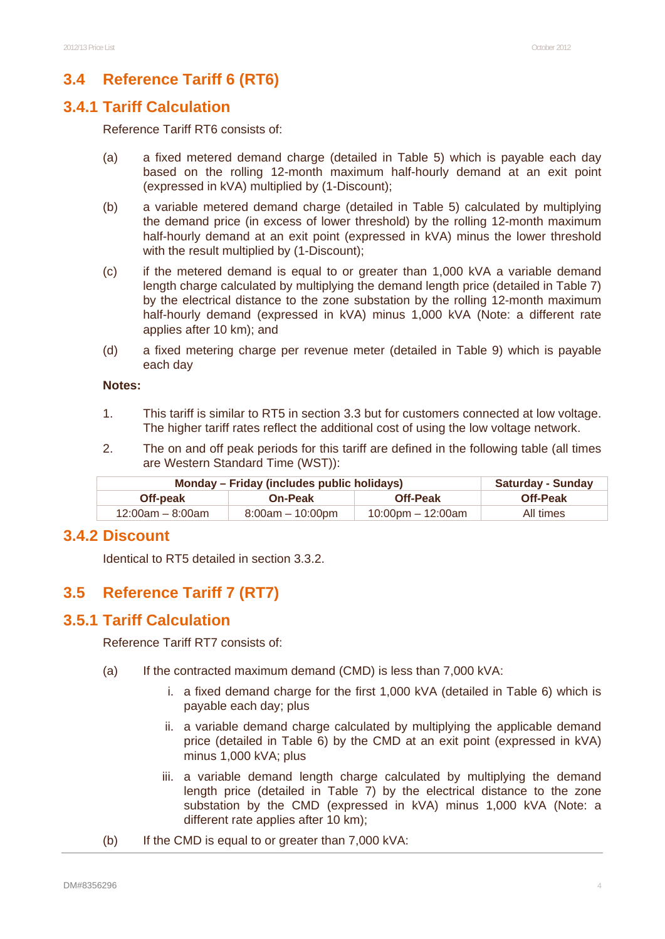# **3.4 Reference Tariff 6 (RT6)**

#### **3.4.1 Tariff Calculation**

Reference Tariff RT6 consists of:

- (a) a fixed metered demand charge (detailed in Table 5) which is payable each day based on the rolling 12-month maximum half-hourly demand at an exit point (expressed in kVA) multiplied by (1-Discount);
- (b) a variable metered demand charge (detailed in Table 5) calculated by multiplying the demand price (in excess of lower threshold) by the rolling 12-month maximum half-hourly demand at an exit point (expressed in kVA) minus the lower threshold with the result multiplied by (1-Discount);
- (c) if the metered demand is equal to or greater than 1,000 kVA a variable demand length charge calculated by multiplying the demand length price (detailed in Table 7) by the electrical distance to the zone substation by the rolling 12-month maximum half-hourly demand (expressed in kVA) minus 1,000 kVA (Note: a different rate applies after 10 km); and
- (d) a fixed metering charge per revenue meter (detailed in Table 9) which is payable each day

#### **Notes:**

- 1. This tariff is similar to RT5 in section 3.3 but for customers connected at low voltage. The higher tariff rates reflect the additional cost of using the low voltage network.
- 2. The on and off peak periods for this tariff are defined in the following table (all times are Western Standard Time (WST)):

| Monday – Friday (includes public holidays) | <b>Saturday - Sunday</b> |                   |                 |
|--------------------------------------------|--------------------------|-------------------|-----------------|
| Off-peak                                   | <b>On-Peak</b>           | <b>Off-Peak</b>   | <b>Off-Peak</b> |
| $12:00$ am – 8:00am                        | $8:00am - 10:00pm$       | 10:00pm – 12:00am | All times       |

#### **3.4.2 Discount**

Identical to RT5 detailed in section 3.3.2.

# **3.5 Reference Tariff 7 (RT7)**

#### **3.5.1 Tariff Calculation**

Reference Tariff RT7 consists of:

- (a) If the contracted maximum demand (CMD) is less than 7,000 kVA:
	- i. a fixed demand charge for the first 1,000 kVA (detailed in Table 6) which is payable each day; plus
	- ii. a variable demand charge calculated by multiplying the applicable demand price (detailed in Table 6) by the CMD at an exit point (expressed in kVA) minus 1,000 kVA; plus
	- iii. a variable demand length charge calculated by multiplying the demand length price (detailed in Table 7) by the electrical distance to the zone substation by the CMD (expressed in kVA) minus 1,000 kVA (Note: a different rate applies after 10 km);
- (b) If the CMD is equal to or greater than 7,000 kVA: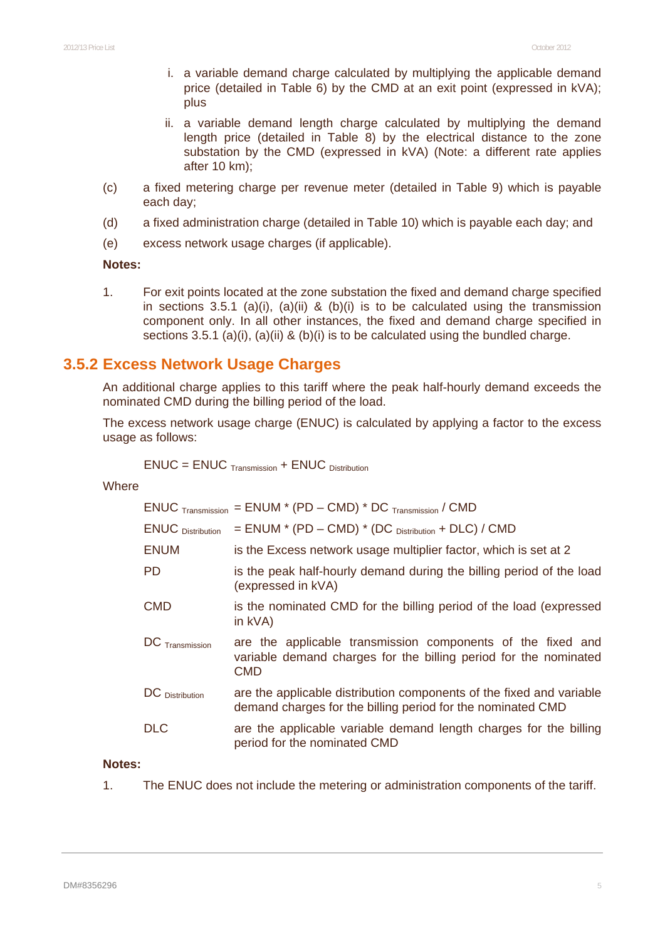- i. a variable demand charge calculated by multiplying the applicable demand price (detailed in Table 6) by the CMD at an exit point (expressed in kVA); plus
- ii. a variable demand length charge calculated by multiplying the demand length price (detailed in Table 8) by the electrical distance to the zone substation by the CMD (expressed in kVA) (Note: a different rate applies after 10 km);
- (c) a fixed metering charge per revenue meter (detailed in Table 9) which is payable each day;
- (d) a fixed administration charge (detailed in Table 10) which is payable each day; and
- (e) excess network usage charges (if applicable).

#### **Notes:**

1. For exit points located at the zone substation the fixed and demand charge specified in sections 3.5.1 (a)(i), (a)(ii) & (b)(i) is to be calculated using the transmission component only. In all other instances, the fixed and demand charge specified in sections 3.5.1 (a)(i), (a)(ii) & (b)(i) is to be calculated using the bundled charge.

#### **3.5.2 Excess Network Usage Charges**

An additional charge applies to this tariff where the peak half-hourly demand exceeds the nominated CMD during the billing period of the load.

The excess network usage charge (ENUC) is calculated by applying a factor to the excess usage as follows:

$$
ENUC = ENUC_{\text{ Transmission}} + ENUC_{\text{ Distribution}}
$$

**Where** 

|                          | $ENUC$ Transmission = ENUM * (PD – CMD) * DC Transmission / CMD                                                                               |
|--------------------------|-----------------------------------------------------------------------------------------------------------------------------------------------|
| <b>ENUC</b> Distribution | $=$ ENUM $*$ (PD $-$ CMD) $*$ (DC $_{Distribution}$ + DLC) / CMD                                                                              |
| <b>ENUM</b>              | is the Excess network usage multiplier factor, which is set at 2                                                                              |
| <b>PD</b>                | is the peak half-hourly demand during the billing period of the load<br>(expressed in kVA)                                                    |
| <b>CMD</b>               | is the nominated CMD for the billing period of the load (expressed<br>in $kVA$ )                                                              |
| $DC$ Transmission        | are the applicable transmission components of the fixed and<br>variable demand charges for the billing period for the nominated<br><b>CMD</b> |
| DC Distribution          | are the applicable distribution components of the fixed and variable<br>demand charges for the billing period for the nominated CMD           |
| <b>DLC</b>               | are the applicable variable demand length charges for the billing<br>period for the nominated CMD                                             |

#### **Notes:**

1. The ENUC does not include the metering or administration components of the tariff.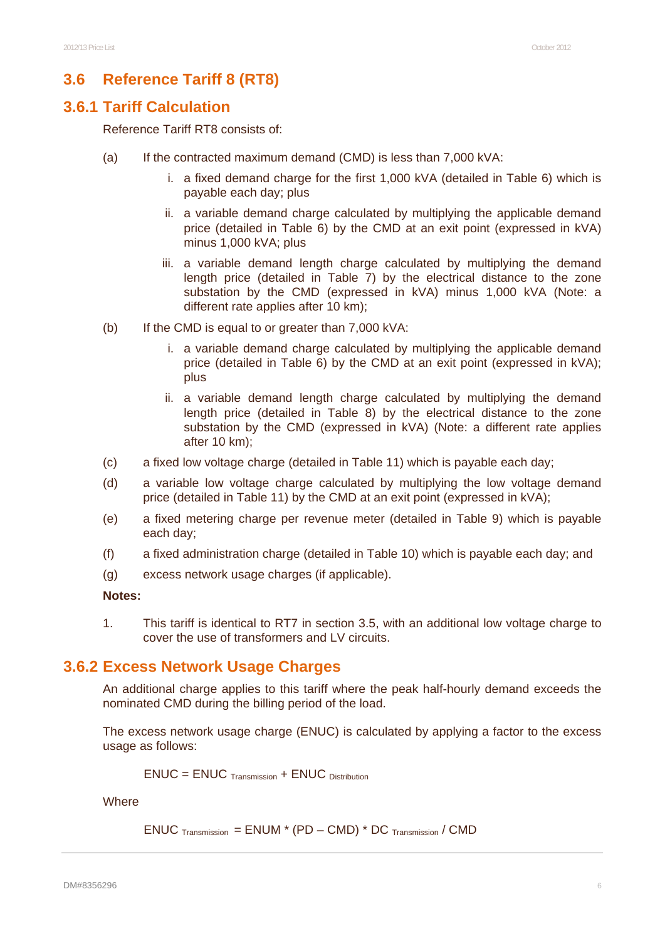### **3.6 Reference Tariff 8 (RT8)**

#### **3.6.1 Tariff Calculation**

Reference Tariff RT8 consists of:

- (a) If the contracted maximum demand (CMD) is less than 7,000 kVA:
	- i. a fixed demand charge for the first 1,000 kVA (detailed in Table 6) which is payable each day; plus
	- ii. a variable demand charge calculated by multiplying the applicable demand price (detailed in Table 6) by the CMD at an exit point (expressed in kVA) minus 1,000 kVA; plus
	- iii. a variable demand length charge calculated by multiplying the demand length price (detailed in Table 7) by the electrical distance to the zone substation by the CMD (expressed in kVA) minus 1,000 kVA (Note: a different rate applies after 10 km);
- (b) If the CMD is equal to or greater than 7,000 kVA:
	- i. a variable demand charge calculated by multiplying the applicable demand price (detailed in Table 6) by the CMD at an exit point (expressed in kVA); plus
	- ii. a variable demand length charge calculated by multiplying the demand length price (detailed in Table 8) by the electrical distance to the zone substation by the CMD (expressed in kVA) (Note: a different rate applies after 10 km);
- (c) a fixed low voltage charge (detailed in Table 11) which is payable each day;
- (d) a variable low voltage charge calculated by multiplying the low voltage demand price (detailed in Table 11) by the CMD at an exit point (expressed in kVA);
- (e) a fixed metering charge per revenue meter (detailed in Table 9) which is payable each day;
- (f) a fixed administration charge (detailed in Table 10) which is payable each day; and
- (g) excess network usage charges (if applicable).

#### **Notes:**

1. This tariff is identical to RT7 in section 3.5, with an additional low voltage charge to cover the use of transformers and LV circuits.

#### **3.6.2 Excess Network Usage Charges**

An additional charge applies to this tariff where the peak half-hourly demand exceeds the nominated CMD during the billing period of the load.

The excess network usage charge (ENUC) is calculated by applying a factor to the excess usage as follows:

$$
ENUC = ENUC_{\text{Transmission}} + ENUC_{\text{ Distribution}}
$$

**Where** 

 $ENUC$  Transmission =  $ENUM * (PD - CMD) * DC$  Transmission / CMD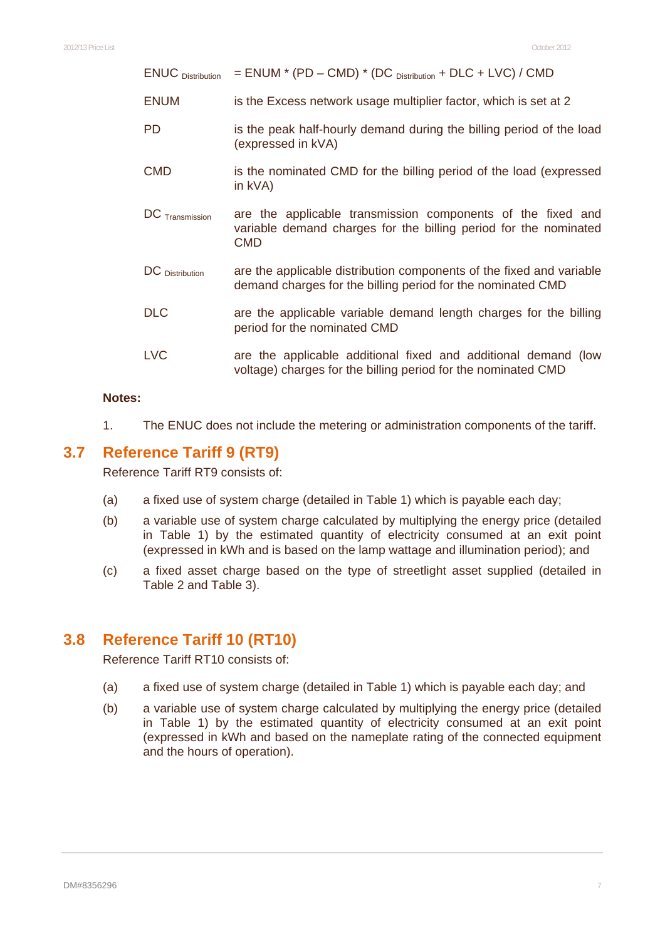ENUC  $_{\text{Distribution}}$  = ENUM \* (PD – CMD) \* (DC  $_{\text{Distribution}}$  + DLC + LVC) / CMD

- ENUM is the Excess network usage multiplier factor, which is set at 2
- PD is the peak half-hourly demand during the billing period of the load (expressed in kVA)
- CMD is the nominated CMD for the billing period of the load (expressed in kVA)
- DC Transmission are the applicable transmission components of the fixed and variable demand charges for the billing period for the nominated CMD
- DC Distribution are the applicable distribution components of the fixed and variable demand charges for the billing period for the nominated CMD
- DLC are the applicable variable demand length charges for the billing period for the nominated CMD
- LVC are the applicable additional fixed and additional demand (low voltage) charges for the billing period for the nominated CMD

#### **Notes:**

1. The ENUC does not include the metering or administration components of the tariff.

#### **3.7 Reference Tariff 9 (RT9)**

Reference Tariff RT9 consists of:

- (a) a fixed use of system charge (detailed in Table 1) which is payable each day;
- (b) a variable use of system charge calculated by multiplying the energy price (detailed in Table 1) by the estimated quantity of electricity consumed at an exit point (expressed in kWh and is based on the lamp wattage and illumination period); and
- (c) a fixed asset charge based on the type of streetlight asset supplied (detailed in Table 2 and Table 3).

#### **3.8 Reference Tariff 10 (RT10)**

Reference Tariff RT10 consists of:

- (a) a fixed use of system charge (detailed in Table 1) which is payable each day; and
- (b) a variable use of system charge calculated by multiplying the energy price (detailed in Table 1) by the estimated quantity of electricity consumed at an exit point (expressed in kWh and based on the nameplate rating of the connected equipment and the hours of operation).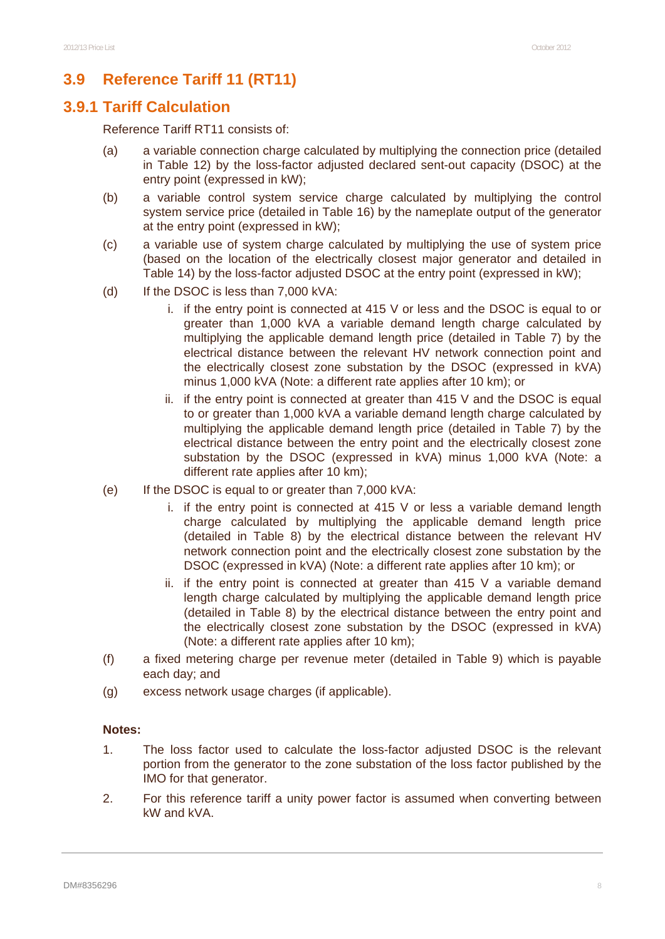# **3.9 Reference Tariff 11 (RT11)**

### **3.9.1 Tariff Calculation**

Reference Tariff RT11 consists of:

- (a) a variable connection charge calculated by multiplying the connection price (detailed in Table 12) by the loss-factor adjusted declared sent-out capacity (DSOC) at the entry point (expressed in kW);
- (b) a variable control system service charge calculated by multiplying the control system service price (detailed in Table 16) by the nameplate output of the generator at the entry point (expressed in kW);
- (c) a variable use of system charge calculated by multiplying the use of system price (based on the location of the electrically closest major generator and detailed in Table 14) by the loss-factor adjusted DSOC at the entry point (expressed in kW);
- (d) If the DSOC is less than 7,000 kVA:
	- i. if the entry point is connected at 415 V or less and the DSOC is equal to or greater than 1,000 kVA a variable demand length charge calculated by multiplying the applicable demand length price (detailed in Table 7) by the electrical distance between the relevant HV network connection point and the electrically closest zone substation by the DSOC (expressed in kVA) minus 1,000 kVA (Note: a different rate applies after 10 km); or
	- ii. if the entry point is connected at greater than 415 V and the DSOC is equal to or greater than 1,000 kVA a variable demand length charge calculated by multiplying the applicable demand length price (detailed in Table 7) by the electrical distance between the entry point and the electrically closest zone substation by the DSOC (expressed in kVA) minus 1,000 kVA (Note: a different rate applies after 10 km);
- (e) If the DSOC is equal to or greater than 7,000 kVA:
	- i. if the entry point is connected at 415 V or less a variable demand length charge calculated by multiplying the applicable demand length price (detailed in Table 8) by the electrical distance between the relevant HV network connection point and the electrically closest zone substation by the DSOC (expressed in kVA) (Note: a different rate applies after 10 km); or
	- ii. if the entry point is connected at greater than  $415$  V a variable demand length charge calculated by multiplying the applicable demand length price (detailed in Table 8) by the electrical distance between the entry point and the electrically closest zone substation by the DSOC (expressed in kVA) (Note: a different rate applies after 10 km);
- (f) a fixed metering charge per revenue meter (detailed in Table 9) which is payable each day; and
- (g) excess network usage charges (if applicable).

#### **Notes:**

- 1. The loss factor used to calculate the loss-factor adjusted DSOC is the relevant portion from the generator to the zone substation of the loss factor published by the IMO for that generator.
- 2. For this reference tariff a unity power factor is assumed when converting between kW and kVA.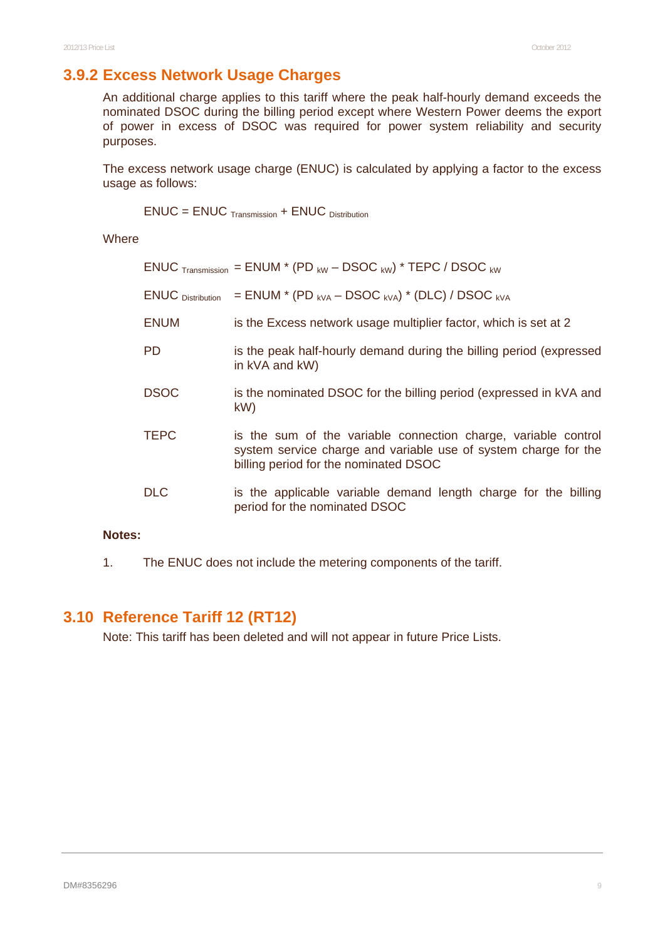# **3.9.2 Excess Network Usage Charges**

An additional charge applies to this tariff where the peak half-hourly demand exceeds the nominated DSOC during the billing period except where Western Power deems the export of power in excess of DSOC was required for power system reliability and security purposes.

The excess network usage charge (ENUC) is calculated by applying a factor to the excess usage as follows:

 $ENUC = ENUC$   $_{Transmission} + ENUC$   $_{Distivation}$ 

**Where** 

|                                 | ENUC $_{\text{Transmission}}$ = ENUM * (PD $_{\text{kW}}$ – DSOC $_{\text{kW}}$ ) * TEPC / DSOC $_{\text{kW}}$                                                             |
|---------------------------------|----------------------------------------------------------------------------------------------------------------------------------------------------------------------------|
| <b>ENUC</b> <i>Distribution</i> | $=$ ENUM $*$ (PD <sub>kVA</sub> – DSOC <sub>kVA</sub> ) $*$ (DLC) / DSOC <sub>kVA</sub>                                                                                    |
| <b>ENUM</b>                     | is the Excess network usage multiplier factor, which is set at 2                                                                                                           |
| PD.                             | is the peak half-hourly demand during the billing period (expressed<br>in kVA and kW)                                                                                      |
| <b>DSOC</b>                     | is the nominated DSOC for the billing period (expressed in kVA and<br>kW                                                                                                   |
| <b>TEPC</b>                     | is the sum of the variable connection charge, variable control<br>system service charge and variable use of system charge for the<br>billing period for the nominated DSOC |
| <b>DLC</b>                      | is the applicable variable demand length charge for the billing<br>period for the nominated DSOC                                                                           |

#### **Notes:**

1. The ENUC does not include the metering components of the tariff.

### **3.10 Reference Tariff 12 (RT12)**

Note: This tariff has been deleted and will not appear in future Price Lists.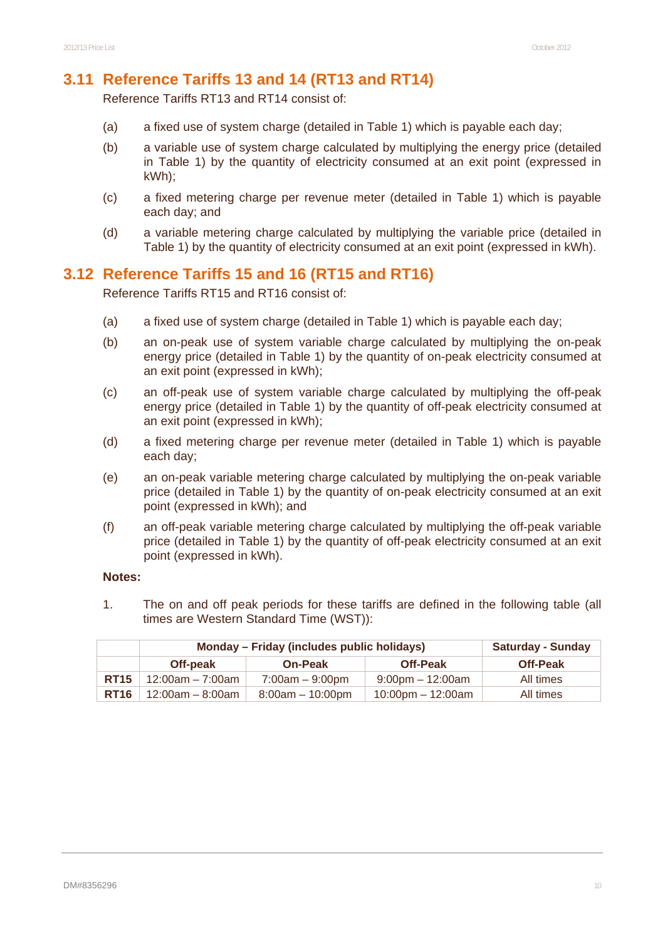#### **3.11 Reference Tariffs 13 and 14 (RT13 and RT14)**

Reference Tariffs RT13 and RT14 consist of:

- (a) a fixed use of system charge (detailed in Table 1) which is payable each day;
- (b) a variable use of system charge calculated by multiplying the energy price (detailed in Table 1) by the quantity of electricity consumed at an exit point (expressed in kWh);
- (c) a fixed metering charge per revenue meter (detailed in Table 1) which is payable each day; and
- (d) a variable metering charge calculated by multiplying the variable price (detailed in Table 1) by the quantity of electricity consumed at an exit point (expressed in kWh).

### **3.12 Reference Tariffs 15 and 16 (RT15 and RT16)**

Reference Tariffs RT15 and RT16 consist of:

- (a) a fixed use of system charge (detailed in Table 1) which is payable each day;
- (b) an on-peak use of system variable charge calculated by multiplying the on-peak energy price (detailed in Table 1) by the quantity of on-peak electricity consumed at an exit point (expressed in kWh);
- (c) an off-peak use of system variable charge calculated by multiplying the off-peak energy price (detailed in Table 1) by the quantity of off-peak electricity consumed at an exit point (expressed in kWh);
- (d) a fixed metering charge per revenue meter (detailed in Table 1) which is payable each day;
- (e) an on-peak variable metering charge calculated by multiplying the on-peak variable price (detailed in Table 1) by the quantity of on-peak electricity consumed at an exit point (expressed in kWh); and
- (f) an off-peak variable metering charge calculated by multiplying the off-peak variable price (detailed in Table 1) by the quantity of off-peak electricity consumed at an exit point (expressed in kWh).

#### **Notes:**

1. The on and off peak periods for these tariffs are defined in the following table (all times are Western Standard Time (WST)):

|             | Monday – Friday (includes public holidays) |                    |                                     | <b>Saturday - Sunday</b> |
|-------------|--------------------------------------------|--------------------|-------------------------------------|--------------------------|
|             | Off-peak                                   | <b>On-Peak</b>     | <b>Off-Peak</b>                     | <b>Off-Peak</b>          |
| <b>RT15</b> | $12:00$ am – 7:00am                        | $7:00am - 9:00pm$  | $9:00$ pm $-12:00$ am               | All times                |
| <b>RT16</b> | 12:00am – 8:00am                           | $8:00am - 10:00pm$ | $10:00 \text{pm} - 12:00 \text{am}$ | All times                |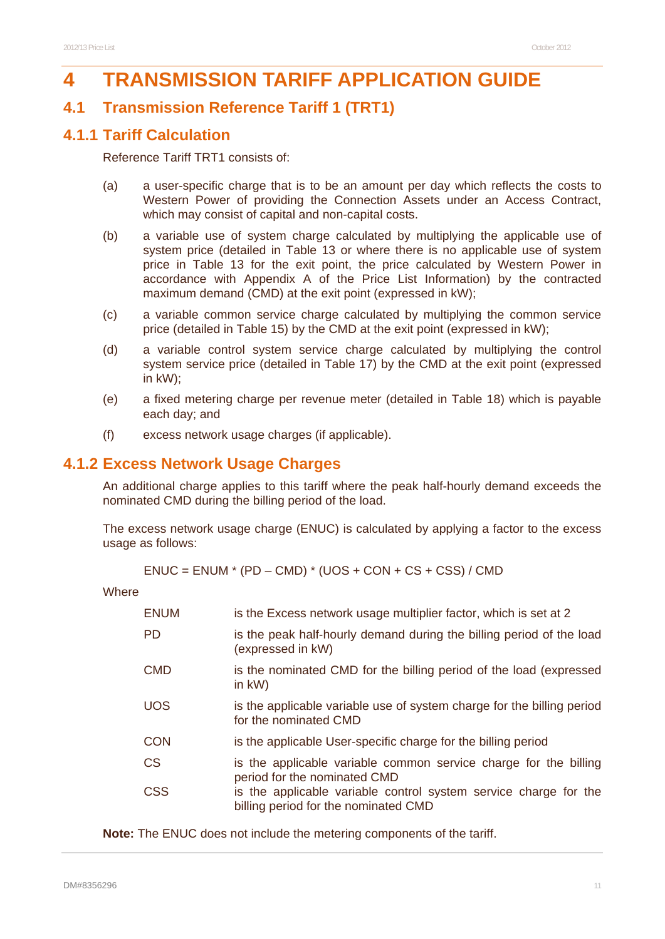# **4 TRANSMISSION TARIFF APPLICATION GUIDE**

### **4.1 Transmission Reference Tariff 1 (TRT1)**

#### **4.1.1 Tariff Calculation**

Reference Tariff TRT1 consists of:

- (a) a user-specific charge that is to be an amount per day which reflects the costs to Western Power of providing the Connection Assets under an Access Contract, which may consist of capital and non-capital costs.
- (b) a variable use of system charge calculated by multiplying the applicable use of system price (detailed in Table 13 or where there is no applicable use of system price in Table 13 for the exit point, the price calculated by Western Power in accordance with Appendix A of the Price List Information) by the contracted maximum demand (CMD) at the exit point (expressed in kW);
- (c) a variable common service charge calculated by multiplying the common service price (detailed in Table 15) by the CMD at the exit point (expressed in kW);
- (d) a variable control system service charge calculated by multiplying the control system service price (detailed in Table 17) by the CMD at the exit point (expressed in kW);
- (e) a fixed metering charge per revenue meter (detailed in Table 18) which is payable each day; and
- (f) excess network usage charges (if applicable).

#### **4.1.2 Excess Network Usage Charges**

An additional charge applies to this tariff where the peak half-hourly demand exceeds the nominated CMD during the billing period of the load.

The excess network usage charge (ENUC) is calculated by applying a factor to the excess usage as follows:

 $ENUC = ENUM * (PD - CMD) * (UOS + CON + CS + CSS) / CMD$ 

**Where** 

| <b>ENUM</b> | is the Excess network usage multiplier factor, which is set at 2                                         |
|-------------|----------------------------------------------------------------------------------------------------------|
| <b>PD</b>   | is the peak half-hourly demand during the billing period of the load<br>(expressed in kW)                |
| <b>CMD</b>  | is the nominated CMD for the billing period of the load (expressed<br>in $kW$ )                          |
| UOS.        | is the applicable variable use of system charge for the billing period<br>for the nominated CMD          |
| CON         | is the applicable User-specific charge for the billing period                                            |
| <b>CS</b>   | is the applicable variable common service charge for the billing<br>period for the nominated CMD         |
| <b>CSS</b>  | is the applicable variable control system service charge for the<br>billing period for the nominated CMD |

**Note:** The ENUC does not include the metering components of the tariff.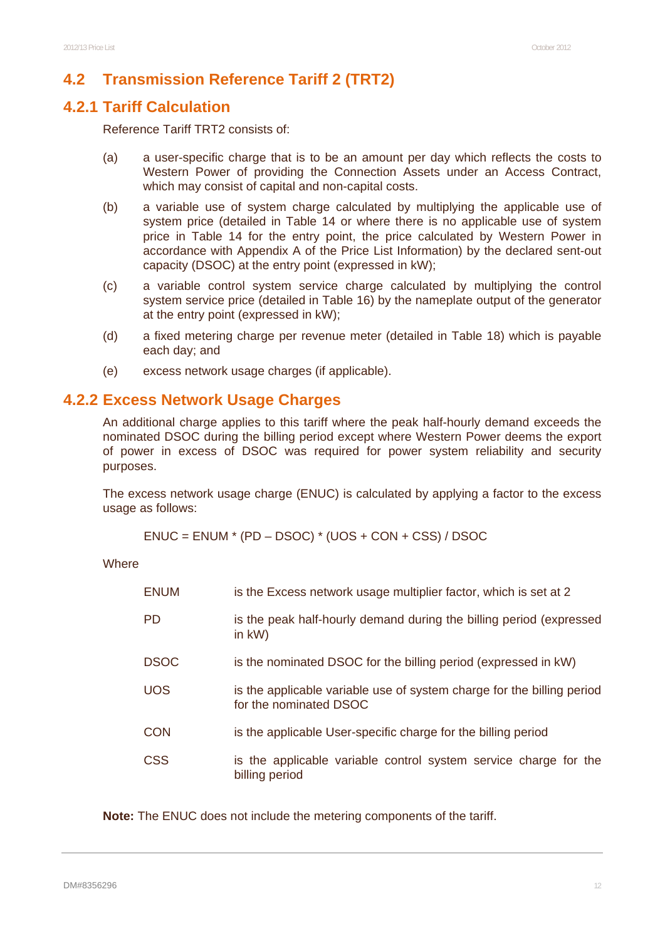### **4.2 Transmission Reference Tariff 2 (TRT2)**

### **4.2.1 Tariff Calculation**

Reference Tariff TRT2 consists of:

- (a) a user-specific charge that is to be an amount per day which reflects the costs to Western Power of providing the Connection Assets under an Access Contract, which may consist of capital and non-capital costs.
- (b) a variable use of system charge calculated by multiplying the applicable use of system price (detailed in Table 14 or where there is no applicable use of system price in Table 14 for the entry point, the price calculated by Western Power in accordance with Appendix A of the Price List Information) by the declared sent-out capacity (DSOC) at the entry point (expressed in kW);
- (c) a variable control system service charge calculated by multiplying the control system service price (detailed in Table 16) by the nameplate output of the generator at the entry point (expressed in kW);
- (d) a fixed metering charge per revenue meter (detailed in Table 18) which is payable each day; and
- (e) excess network usage charges (if applicable).

### **4.2.2 Excess Network Usage Charges**

An additional charge applies to this tariff where the peak half-hourly demand exceeds the nominated DSOC during the billing period except where Western Power deems the export of power in excess of DSOC was required for power system reliability and security purposes.

The excess network usage charge (ENUC) is calculated by applying a factor to the excess usage as follows:

 $ENUC = ENUM * (PD - DSOC) * (UOS + CON + CSS) / DSOC$ 

**Where** 

| <b>ENUM</b> | is the Excess network usage multiplier factor, which is set at 2                                 |
|-------------|--------------------------------------------------------------------------------------------------|
| <b>PD</b>   | is the peak half-hourly demand during the billing period (expressed<br>in $kW$ )                 |
| <b>DSOC</b> | is the nominated DSOC for the billing period (expressed in kW)                                   |
| <b>UOS</b>  | is the applicable variable use of system charge for the billing period<br>for the nominated DSOC |
| CON         | is the applicable User-specific charge for the billing period                                    |
| <b>CSS</b>  | is the applicable variable control system service charge for the<br>billing period               |

**Note:** The ENUC does not include the metering components of the tariff.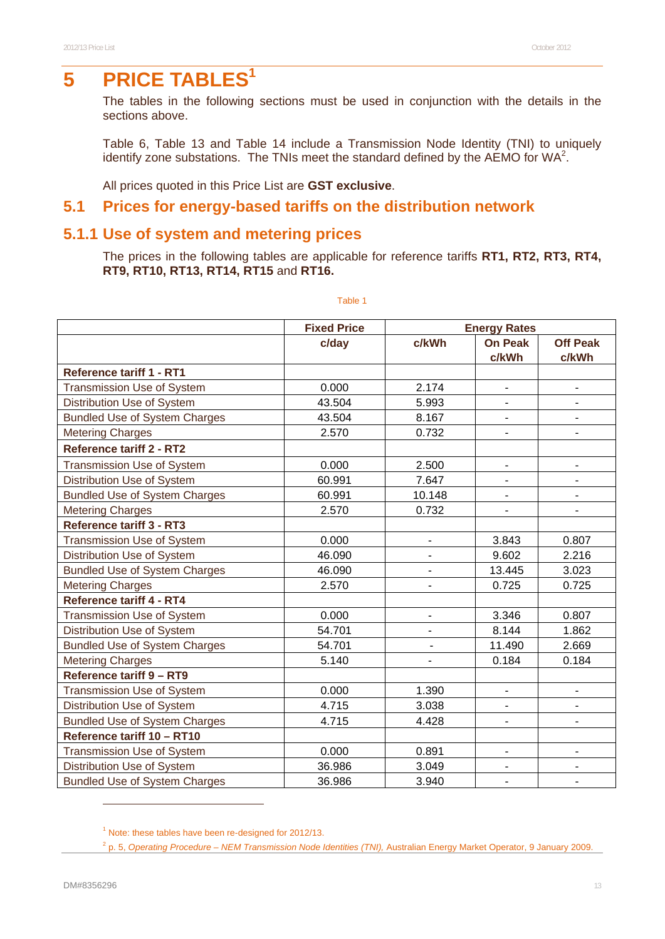# **5** PRICE TABLES<sup>1</sup>

The tables in the following sections must be used in conjunction with the details in the sections above.

Table 6, Table 13 and Table 14 include a Transmission Node Identity (TNI) to uniquely identify zone substations. The TNIs meet the standard defined by the AEMO for WA<sup>2</sup>.

All prices quoted in this Price List are **GST exclusive**.

#### **5.1 Prices for energy-based tariffs on the distribution network**

#### **5.1.1 Use of system and metering prices**

The prices in the following tables are applicable for reference tariffs **RT1, RT2, RT3, RT4, RT9, RT10, RT13, RT14, RT15** and **RT16.** 

|                                      | <b>Fixed Price</b> |                          | <b>Energy Rates</b>          |                          |
|--------------------------------------|--------------------|--------------------------|------------------------------|--------------------------|
|                                      | c/day              | c/kWh                    | <b>On Peak</b>               | <b>Off Peak</b>          |
|                                      |                    |                          | c/kWh                        | c/kWh                    |
| Reference tariff 1 - RT1             |                    |                          |                              |                          |
| <b>Transmission Use of System</b>    | 0.000              | 2.174                    | $\overline{\phantom{m}}$     | $\blacksquare$           |
| Distribution Use of System           | 43.504             | 5.993                    | $\qquad \qquad \blacksquare$ |                          |
| <b>Bundled Use of System Charges</b> | 43.504             | 8.167                    |                              |                          |
| <b>Metering Charges</b>              | 2.570              | 0.732                    | ۰                            | -                        |
| <b>Reference tariff 2 - RT2</b>      |                    |                          |                              |                          |
| <b>Transmission Use of System</b>    | 0.000              | 2.500                    | $\overline{\phantom{0}}$     | $\overline{\phantom{a}}$ |
| Distribution Use of System           | 60.991             | 7.647                    |                              |                          |
| <b>Bundled Use of System Charges</b> | 60.991             | 10.148                   |                              |                          |
| <b>Metering Charges</b>              | 2.570              | 0.732                    | ۰                            | $\overline{\phantom{a}}$ |
| <b>Reference tariff 3 - RT3</b>      |                    |                          |                              |                          |
| <b>Transmission Use of System</b>    | 0.000              | $\overline{\phantom{a}}$ | 3.843                        | 0.807                    |
| Distribution Use of System           | 46.090             |                          | 9.602                        | 2.216                    |
| <b>Bundled Use of System Charges</b> | 46.090             |                          | 13.445                       | 3.023                    |
| <b>Metering Charges</b>              | 2.570              | Ξ.                       | 0.725                        | 0.725                    |
| <b>Reference tariff 4 - RT4</b>      |                    |                          |                              |                          |
| <b>Transmission Use of System</b>    | 0.000              | $\blacksquare$           | 3.346                        | 0.807                    |
| Distribution Use of System           | 54.701             |                          | 8.144                        | 1.862                    |
| <b>Bundled Use of System Charges</b> | 54.701             |                          | 11.490                       | 2.669                    |
| <b>Metering Charges</b>              | 5.140              | ۰                        | 0.184                        | 0.184                    |
| Reference tariff 9 - RT9             |                    |                          |                              |                          |
| Transmission Use of System           | 0.000              | 1.390                    | $\overline{\phantom{a}}$     | ۰                        |
| Distribution Use of System           | 4.715              | 3.038                    |                              |                          |
| <b>Bundled Use of System Charges</b> | 4.715              | 4.428                    |                              |                          |
| Reference tariff 10 - RT10           |                    |                          |                              |                          |
| Transmission Use of System           | 0.000              | 0.891                    |                              |                          |
| Distribution Use of System           | 36.986             | 3.049                    |                              |                          |
| <b>Bundled Use of System Charges</b> | 36.986             | 3.940                    | $\overline{\phantom{a}}$     | ٠                        |

Table 1

l

<sup>&</sup>lt;sup>1</sup> Note: these tables have been re-designed for 2012/13.

<sup>2</sup> p. 5, *Operating Procedure – NEM Transmission Node Identities (TNI),* Australian Energy Market Operator, 9 January 2009.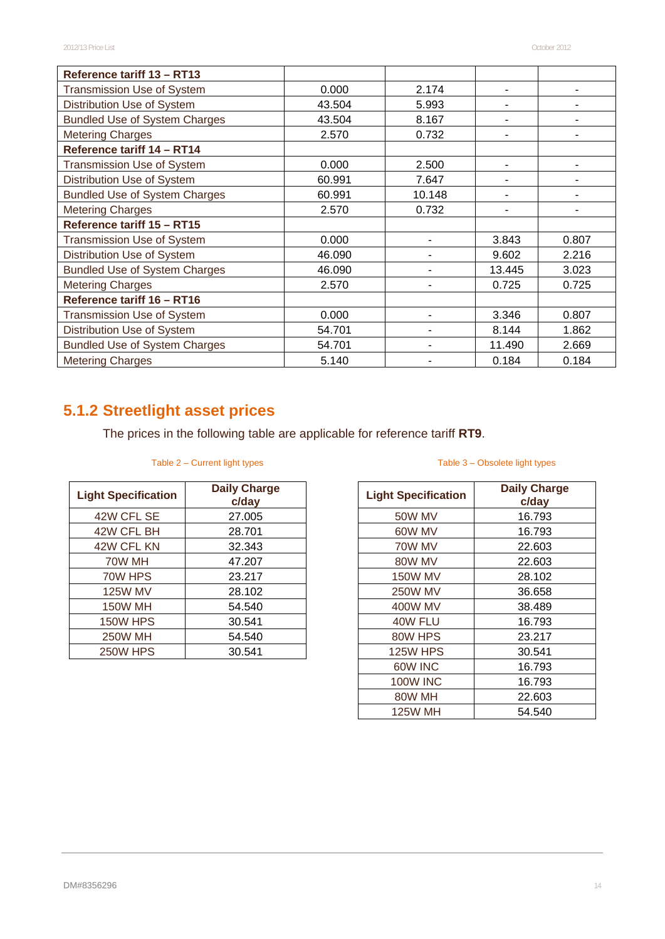| Reference tariff 13 - RT13           |        |        |        |       |
|--------------------------------------|--------|--------|--------|-------|
| <b>Transmission Use of System</b>    | 0.000  | 2.174  |        |       |
| Distribution Use of System           | 43.504 | 5.993  |        |       |
| <b>Bundled Use of System Charges</b> | 43.504 | 8.167  |        |       |
| <b>Metering Charges</b>              | 2.570  | 0.732  |        |       |
| Reference tariff 14 - RT14           |        |        |        |       |
| <b>Transmission Use of System</b>    | 0.000  | 2.500  |        |       |
| Distribution Use of System           | 60.991 | 7.647  |        |       |
| <b>Bundled Use of System Charges</b> | 60.991 | 10.148 | ۰      |       |
| <b>Metering Charges</b>              | 2.570  | 0.732  |        |       |
| Reference tariff 15 - RT15           |        |        |        |       |
| <b>Transmission Use of System</b>    | 0.000  |        | 3.843  | 0.807 |
| Distribution Use of System           | 46.090 |        | 9.602  | 2.216 |
| <b>Bundled Use of System Charges</b> | 46.090 |        | 13.445 | 3.023 |
| <b>Metering Charges</b>              | 2.570  |        | 0.725  | 0.725 |
| Reference tariff 16 - RT16           |        |        |        |       |
| <b>Transmission Use of System</b>    | 0.000  |        | 3.346  | 0.807 |
| Distribution Use of System           | 54.701 |        | 8.144  | 1.862 |
| <b>Bundled Use of System Charges</b> | 54.701 |        | 11.490 | 2.669 |
| <b>Metering Charges</b>              | 5.140  |        | 0.184  | 0.184 |

# **5.1.2 Streetlight asset prices**

The prices in the following table are applicable for reference tariff **RT9**.

#### Table 2 – Current light types

| <b>Light Specification</b> | <b>Daily Charge</b><br>c/day |
|----------------------------|------------------------------|
| 42W CFL SE                 | 27.005                       |
| 42W CFL BH                 | 28.701                       |
| 42W CFL KN                 | 32.343                       |
| 70W MH                     | 47.207                       |
| 70W HPS                    | 23.217                       |
| <b>125W MV</b>             | 28.102                       |
| <b>150W MH</b>             | 54.540                       |
| <b>150W HPS</b>            | 30.541                       |
| <b>250W MH</b>             | 54.540                       |
| <b>250W HPS</b>            | 30.541                       |

#### Table 3 – Obsolete light types

| <b>Light Specification</b> | <b>Daily Charge</b><br>c/day |
|----------------------------|------------------------------|
| 50W MV                     | 16.793                       |
| 60W MV                     | 16.793                       |
| 70W MV                     | 22.603                       |
| 80W MV                     | 22.603                       |
| <b>150W MV</b>             | 28.102                       |
| <b>250W MV</b>             | 36.658                       |
| 400W MV                    | 38.489                       |
| 40W FLU                    | 16.793                       |
| 80W HPS                    | 23.217                       |
| <b>125W HPS</b>            | 30.541                       |
| 60W INC                    | 16.793                       |
| <b>100W INC</b>            | 16.793                       |
| 80W MH                     | 22.603                       |
| 125W MH                    | 54.540                       |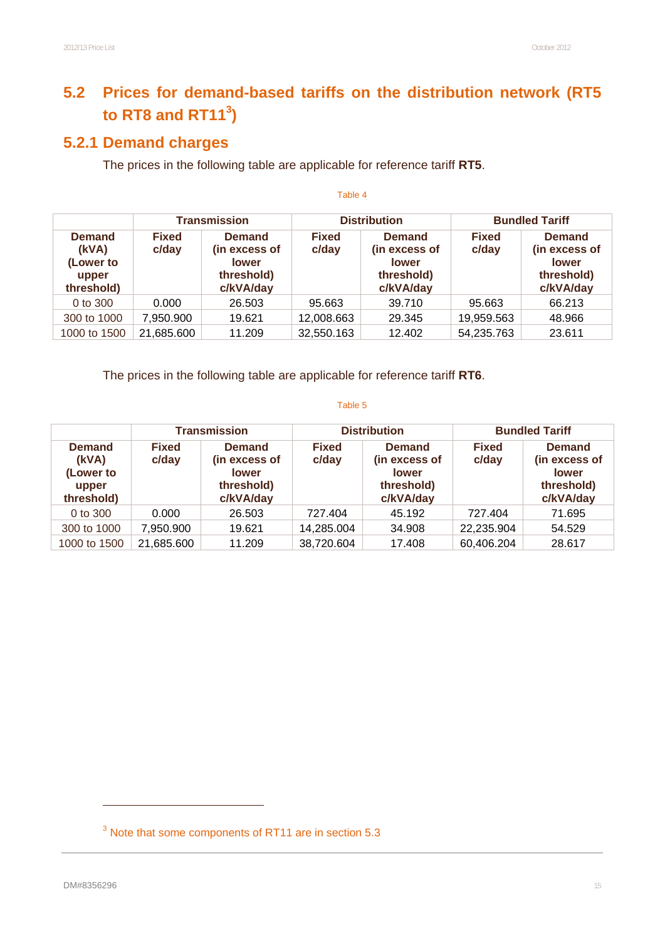# **5.2 Prices for demand-based tariffs on the distribution network (RT5**  to RT8 and RT11 $3$ )

# **5.2.1 Demand charges**

The prices in the following table are applicable for reference tariff **RT5**.

|                                                            | <b>Transmission</b>   |                                                                           |                       | <b>Distribution</b>                                                       | <b>Bundled Tariff</b> |                                                                           |  |
|------------------------------------------------------------|-----------------------|---------------------------------------------------------------------------|-----------------------|---------------------------------------------------------------------------|-----------------------|---------------------------------------------------------------------------|--|
| <b>Demand</b><br>(kVA)<br>(Lower to<br>upper<br>threshold) | <b>Fixed</b><br>c/day | <b>Demand</b><br>(in excess of<br><b>lower</b><br>threshold)<br>c/kVA/day | <b>Fixed</b><br>c/day | <b>Demand</b><br>(in excess of<br><b>lower</b><br>threshold)<br>c/kVA/day | <b>Fixed</b><br>c/day | <b>Demand</b><br>(in excess of<br><b>lower</b><br>threshold)<br>c/kVA/day |  |
| 0 to 300                                                   | 0.000                 | 26.503                                                                    | 95.663                | 39.710                                                                    | 95.663                | 66.213                                                                    |  |
| 300 to 1000                                                | 7,950.900             | 19.621                                                                    | 12,008.663            | 29.345                                                                    | 19,959.563            | 48.966                                                                    |  |
| 1000 to 1500                                               | 21,685.600            | 11.209                                                                    | 32,550.163            | 12.402                                                                    | 54,235.763            | 23.611                                                                    |  |

Table 4

The prices in the following table are applicable for reference tariff **RT6**.

#### Table 5

|                                                            | <b>Transmission</b>   |                                                                           |                       | <b>Distribution</b>                                                       | <b>Bundled Tariff</b> |                                                                           |  |
|------------------------------------------------------------|-----------------------|---------------------------------------------------------------------------|-----------------------|---------------------------------------------------------------------------|-----------------------|---------------------------------------------------------------------------|--|
| <b>Demand</b><br>(kVA)<br>(Lower to<br>upper<br>threshold) | <b>Fixed</b><br>c/day | <b>Demand</b><br>(in excess of<br><b>lower</b><br>threshold)<br>c/kVA/day | <b>Fixed</b><br>c/day | <b>Demand</b><br>(in excess of<br><b>lower</b><br>threshold)<br>c/kVA/day | <b>Fixed</b><br>c/day | <b>Demand</b><br>(in excess of<br><b>lower</b><br>threshold)<br>c/kVA/day |  |
| 0 to 300                                                   | 0.000                 | 26.503                                                                    | 727.404               | 45.192                                                                    | 727.404               | 71.695                                                                    |  |
| 300 to 1000                                                | 7,950.900             | 19.621                                                                    | 14,285.004            | 34.908                                                                    | 22,235.904            | 54.529                                                                    |  |
| 1000 to 1500                                               | 21,685.600            | 11.209                                                                    | 38,720.604            | 17.408                                                                    | 60,406.204            | 28.617                                                                    |  |

 $\overline{a}$ 

 $3$  Note that some components of RT11 are in section 5.3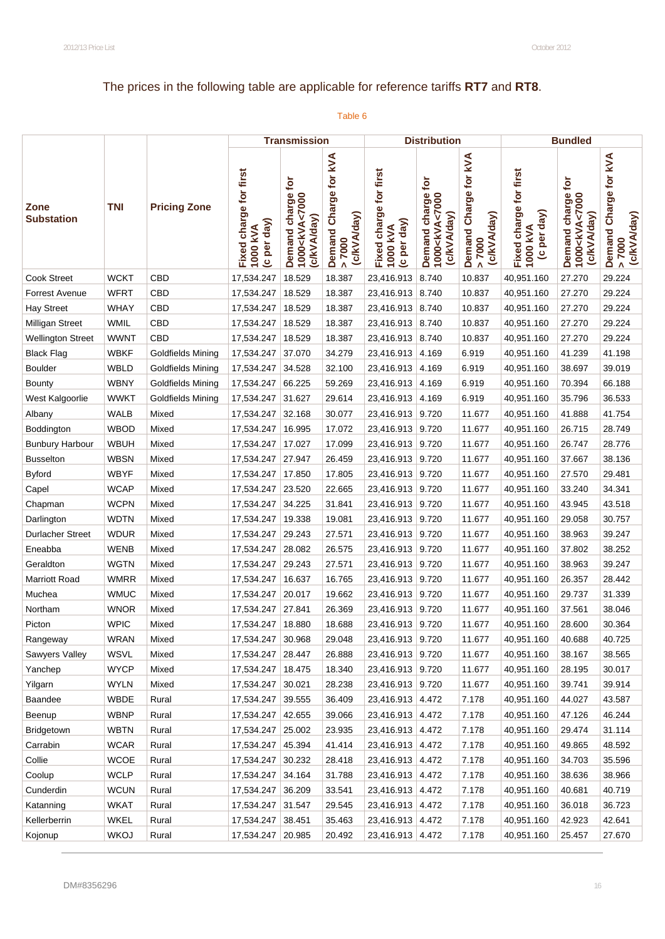# The prices in the following table are applicable for reference tariffs **RT7** and **RT8**.

|                           |             |                          |                                                   | <b>Transmission</b>                                              |                                                           |                                                   | <b>Distribution</b>                                                  |                                                           |                                                   | <b>Bundled</b>                                                   |                                                  |
|---------------------------|-------------|--------------------------|---------------------------------------------------|------------------------------------------------------------------|-----------------------------------------------------------|---------------------------------------------------|----------------------------------------------------------------------|-----------------------------------------------------------|---------------------------------------------------|------------------------------------------------------------------|--------------------------------------------------|
| Zone<br><b>Substation</b> | <b>TNI</b>  | <b>Pricing Zone</b>      | Fixed charge for first<br>(c per day)<br>1000 kVA | Demand charge for<br>1000 <kva<7000<br>(c/kVA/day)</kva<7000<br> | Demand Charge for kVA<br>(c/kVA/day)<br>2000 <sub>5</sub> | Fixed charge for first<br>(c per day)<br>1000 kVA | charge for<br>1000 <kva<7000<br>(c/kVA/day)<br/>Demand</kva<7000<br> | Demand Charge for kVA<br>(c/kVA/day)<br>0000 <sub>5</sub> | Fixed charge for first<br>(c per day)<br>1000 kVA | Demand charge for<br>1000 <kva<7000<br>(c/kVA/day)</kva<7000<br> | Demand Charge for kVA<br>(c/kVA/day)<br>0000 < 1 |
| Cook Street               | <b>WCKT</b> | CBD                      | 17,534.247                                        | 18.529                                                           | 18.387                                                    | 23,416.913                                        | 8.740                                                                | 10.837                                                    | 40,951.160                                        | 27.270                                                           | 29.224                                           |
| <b>Forrest Avenue</b>     | <b>WFRT</b> | CBD                      | 17,534.247                                        | 18.529                                                           | 18.387                                                    | 23,416.913 8.740                                  |                                                                      | 10.837                                                    | 40,951.160                                        | 27.270                                                           | 29.224                                           |
| <b>Hay Street</b>         | <b>WHAY</b> | CBD                      | 17,534.247                                        | 18.529                                                           | 18.387                                                    | 23,416.913 8.740                                  |                                                                      | 10.837                                                    | 40,951.160                                        | 27.270                                                           | 29.224                                           |
| Milligan Street           | <b>WMIL</b> | CBD                      | 17,534.247                                        | 18.529                                                           | 18.387                                                    | 23,416.913 8.740                                  |                                                                      | 10.837                                                    | 40,951.160                                        | 27.270                                                           | 29.224                                           |
| <b>Wellington Street</b>  | <b>WWNT</b> | CBD                      | 17,534.247                                        | 18.529                                                           | 18.387                                                    | 23,416.913 8.740                                  |                                                                      | 10.837                                                    | 40,951.160                                        | 27.270                                                           | 29.224                                           |
| <b>Black Flag</b>         | <b>WBKF</b> | <b>Goldfields Mining</b> | 17,534.247                                        | 37.070                                                           | 34.279                                                    | 23,416.913                                        | 4.169                                                                | 6.919                                                     | 40,951.160                                        | 41.239                                                           | 41.198                                           |
| <b>Boulder</b>            | WBLD        | Goldfields Mining        | 17,534.247                                        | 34.528                                                           | 32.100                                                    | 23,416.913 4.169                                  |                                                                      | 6.919                                                     | 40,951.160                                        | 38.697                                                           | 39.019                                           |
| <b>Bounty</b>             | <b>WBNY</b> | Goldfields Mining        | 17,534.247                                        | 66.225                                                           | 59.269                                                    | 23,416.913 4.169                                  |                                                                      | 6.919                                                     | 40,951.160                                        | 70.394                                                           | 66.188                                           |
| West Kalgoorlie           | <b>WWKT</b> | Goldfields Mining        | 17,534.247                                        | 31.627                                                           | 29.614                                                    | 23,416.913 4.169                                  |                                                                      | 6.919                                                     | 40,951.160                                        | 35.796                                                           | 36.533                                           |
| Albany                    | <b>WALB</b> | Mixed                    | 17,534.247                                        | 32.168                                                           | 30.077                                                    | 23,416.913 9.720                                  |                                                                      | 11.677                                                    | 40,951.160                                        | 41.888                                                           | 41.754                                           |
| Boddington                | <b>WBOD</b> | Mixed                    | 17,534.247                                        | 16.995                                                           | 17.072                                                    | 23,416.913 9.720                                  |                                                                      | 11.677                                                    | 40,951.160                                        | 26.715                                                           | 28.749                                           |
| <b>Bunbury Harbour</b>    | <b>WBUH</b> | Mixed                    | 17,534.247                                        | 17.027                                                           | 17.099                                                    | 23,416.913 9.720                                  |                                                                      | 11.677                                                    | 40,951.160                                        | 26.747                                                           | 28.776                                           |
| <b>Busselton</b>          | <b>WBSN</b> | Mixed                    | 17,534.247                                        | 27.947                                                           | 26.459                                                    | 23,416.913 9.720                                  |                                                                      | 11.677                                                    | 40,951.160                                        | 37.667                                                           | 38.136                                           |
| <b>Byford</b>             | <b>WBYF</b> | Mixed                    | 17,534.247                                        | 17.850                                                           | 17.805                                                    | 23,416.913 9.720                                  |                                                                      | 11.677                                                    | 40,951.160                                        | 27.570                                                           | 29.481                                           |
| Capel                     | <b>WCAP</b> | Mixed                    | 17,534.247                                        | 23.520                                                           | 22.665                                                    | 23,416.913 9.720                                  |                                                                      | 11.677                                                    | 40,951.160                                        | 33.240                                                           | 34.341                                           |
| Chapman                   | <b>WCPN</b> | Mixed                    | 17,534.247                                        | 34.225                                                           | 31.841                                                    | 23,416.913 9.720                                  |                                                                      | 11.677                                                    | 40,951.160                                        | 43.945                                                           | 43.518                                           |
| Darlington                | <b>WDTN</b> | Mixed                    | 17,534.247                                        | 19.338                                                           | 19.081                                                    | 23,416.913 9.720                                  |                                                                      | 11.677                                                    | 40,951.160                                        | 29.058                                                           | 30.757                                           |
| <b>Durlacher Street</b>   | <b>WDUR</b> | Mixed                    | 17,534.247                                        | 29.243                                                           | 27.571                                                    | 23,416.913 9.720                                  |                                                                      | 11.677                                                    | 40,951.160                                        | 38.963                                                           | 39.247                                           |
| Eneabba                   | <b>WENB</b> | Mixed                    | 17,534.247                                        | 28.082                                                           | 26.575                                                    | 23,416.913 9.720                                  |                                                                      | 11.677                                                    | 40,951.160                                        | 37.802                                                           | 38.252                                           |
| Geraldton                 | <b>WGTN</b> | Mixed                    | 17,534.247                                        | 29.243                                                           | 27.571                                                    | 23,416.913 9.720                                  |                                                                      | 11.677                                                    | 40,951.160                                        | 38.963                                                           | 39.247                                           |
| <b>Marriott Road</b>      | <b>WMRR</b> | Mixed                    | 17,534.247                                        | 16.637                                                           | 16.765                                                    | 23,416.913 9.720                                  |                                                                      | 11.677                                                    | 40,951.160                                        | 26.357                                                           | 28.442                                           |
| Muchea                    | <b>WMUC</b> | Mixed                    | 17,534.247                                        | 20.017                                                           | 19.662                                                    | 23,416.913 9.720                                  |                                                                      | 11.677                                                    | 40,951.160                                        | 29.737                                                           | 31.339                                           |
| Northam                   | <b>WNOR</b> | Mixed                    | 17,534.247                                        | 27.841                                                           | 26.369                                                    | 23,416.913 9.720                                  |                                                                      | 11.677                                                    | 40,951.160                                        | 37.561                                                           | 38.046                                           |
| Picton                    | <b>WPIC</b> | Mixed                    | 17,534.247   18.880                               |                                                                  | 18.688                                                    | 23,416.913 9.720                                  |                                                                      | 11.677                                                    | 40,951.160                                        | 28.600                                                           | 30.364                                           |
| Rangeway                  | <b>WRAN</b> | Mixed                    | 17,534.247 30.968                                 |                                                                  | 29.048                                                    | 23,416.913 9.720                                  |                                                                      | 11.677                                                    | 40,951.160                                        | 40.688                                                           | 40.725                                           |
| Sawyers Valley            | <b>WSVL</b> | Mixed                    | 17,534.247 28.447                                 |                                                                  | 26.888                                                    | 23,416.913 9.720                                  |                                                                      | 11.677                                                    | 40,951.160                                        | 38.167                                                           | 38.565                                           |
| Yanchep                   | <b>WYCP</b> | Mixed                    | 17,534.247   18.475                               |                                                                  | 18.340                                                    | 23,416.913 9.720                                  |                                                                      | 11.677                                                    | 40,951.160                                        | 28.195                                                           | 30.017                                           |
| Yilgarn                   | <b>WYLN</b> | Mixed                    | 17,534.247                                        | 30.021                                                           | 28.238                                                    | 23,416.913 9.720                                  |                                                                      | 11.677                                                    | 40,951.160                                        | 39.741                                                           | 39.914                                           |
| Baandee                   | <b>WBDE</b> | Rural                    | 17,534.247                                        | 39.555                                                           | 36.409                                                    | 23,416.913 4.472                                  |                                                                      | 7.178                                                     | 40,951.160                                        | 44.027                                                           | 43.587                                           |
| Beenup                    | <b>WBNP</b> | Rural                    | 17,534.247                                        | 42.655                                                           | 39.066                                                    | 23,416.913 4.472                                  |                                                                      | 7.178                                                     | 40,951.160                                        | 47.126                                                           | 46.244                                           |
| Bridgetown                | <b>WBTN</b> | Rural                    | 17,534.247                                        | 25.002                                                           | 23.935                                                    | 23,416.913 4.472                                  |                                                                      | 7.178                                                     | 40,951.160                                        | 29.474                                                           | 31.114                                           |
| Carrabin                  | <b>WCAR</b> | Rural                    | 17,534.247                                        | 45.394                                                           | 41.414                                                    | 23,416.913 4.472                                  |                                                                      | 7.178                                                     | 40,951.160                                        | 49.865                                                           | 48.592                                           |
| Collie                    | <b>WCOE</b> | Rural                    | 17,534.247 30.232                                 |                                                                  | 28.418                                                    | 23,416.913 4.472                                  |                                                                      | 7.178                                                     | 40,951.160                                        | 34.703                                                           | 35.596                                           |
| Coolup                    | <b>WCLP</b> | Rural                    | 17,534.247 34.164                                 |                                                                  | 31.788                                                    | 23,416.913 4.472                                  |                                                                      | 7.178                                                     | 40,951.160                                        | 38.636                                                           | 38.966                                           |
| Cunderdin                 | <b>WCUN</b> | Rural                    | 17,534.247 36.209                                 |                                                                  | 33.541                                                    | 23,416.913 4.472                                  |                                                                      | 7.178                                                     | 40,951.160                                        | 40.681                                                           | 40.719                                           |
| Katanning                 | <b>WKAT</b> | Rural                    | 17,534.247 31.547                                 |                                                                  | 29.545                                                    | 23,416.913 4.472                                  |                                                                      | 7.178                                                     | 40,951.160                                        | 36.018                                                           | 36.723                                           |
| Kellerberrin              | WKEL        | Rural                    | 17,534.247 38.451                                 |                                                                  | 35.463                                                    | 23,416.913 4.472                                  |                                                                      | 7.178                                                     | 40,951.160                                        | 42.923                                                           | 42.641                                           |
| Kojonup                   | <b>WKOJ</b> | Rural                    | 17,534.247   20.985                               |                                                                  | 20.492                                                    | 23,416.913 4.472                                  |                                                                      | 7.178                                                     | 40,951.160                                        | 25.457                                                           | 27.670                                           |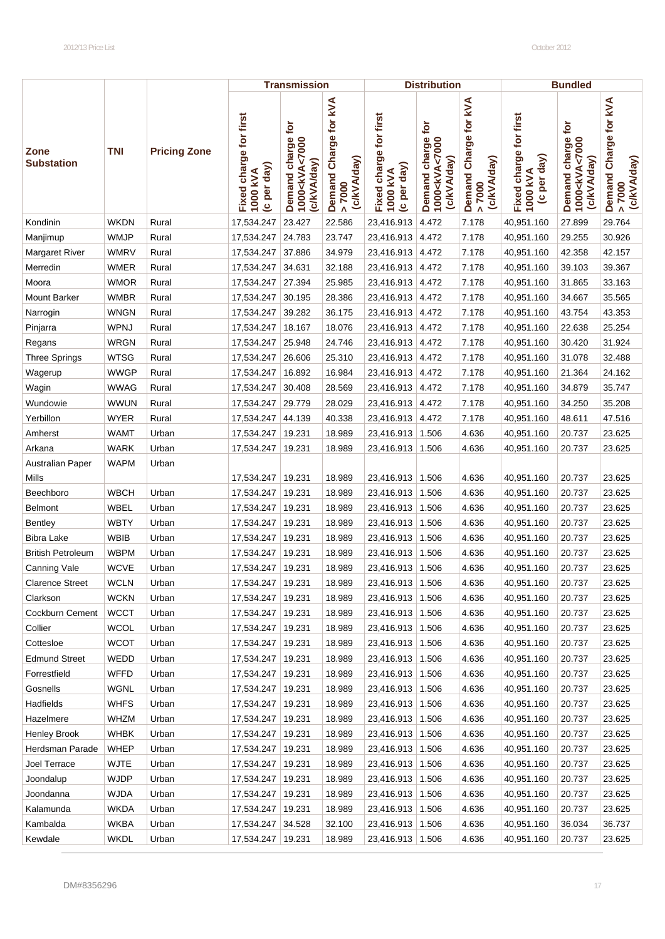|                           |             |                     |                                                   | <b>Transmission</b>                                              |                                                |                                                   | <b>Distribution</b>                                                        |                                              |                                                       | <b>Bundled</b>                                                         |                                                              |
|---------------------------|-------------|---------------------|---------------------------------------------------|------------------------------------------------------------------|------------------------------------------------|---------------------------------------------------|----------------------------------------------------------------------------|----------------------------------------------|-------------------------------------------------------|------------------------------------------------------------------------|--------------------------------------------------------------|
| Zone<br><b>Substation</b> | <b>TNI</b>  | <b>Pricing Zone</b> | Fixed charge for first<br>(c per day)<br>1000 kVA | Demand charge for<br>1000 <kva<7000<br>(c/kVA/day)</kva<7000<br> | Demand Charge for kVA<br>(c/kVA/day)<br>> 7000 | Fixed charge for first<br>(c per day)<br>1000 kVA | charge for<br>Demand charge<br>1000 <kva<7000<br>(c/kVA/day)</kva<7000<br> | Demand Charge for kVA<br>(c/kVA/day)<br>7000 | Fixed charge for first<br>per day)<br>1000 kVA<br>ల్ర | Įg<br>charge<br>1000 <kva<7000<br>(c/kVA/day)<br/>Demand</kva<7000<br> | Charge for kVA<br>(c/kVA/day)<br>Demand<br>7000<br>$\Lambda$ |
| Kondinin                  | <b>WKDN</b> | Rural               | 17,534.247                                        | 23.427                                                           | 22.586                                         | 23,416.913                                        | 4.472                                                                      | 7.178                                        | 40,951.160                                            | 27.899                                                                 | 29.764                                                       |
| Manjimup                  | <b>WMJP</b> | Rural               | 17,534.247                                        | 24.783                                                           | 23.747                                         | 23,416.913                                        | 4.472                                                                      | 7.178                                        | 40,951.160                                            | 29.255                                                                 | 30.926                                                       |
| <b>Margaret River</b>     | <b>WMRV</b> | Rural               | 17,534.247                                        | 37.886                                                           | 34.979                                         | 23,416.913 4.472                                  |                                                                            | 7.178                                        | 40,951.160                                            | 42.358                                                                 | 42.157                                                       |
| Merredin                  | WMER        | Rural               | 17,534.247                                        | 34.631                                                           | 32.188                                         | 23,416.913 4.472                                  |                                                                            | 7.178                                        | 40,951.160                                            | 39.103                                                                 | 39.367                                                       |
| Moora                     | <b>WMOR</b> | Rural               | 17,534.247                                        | 27.394                                                           | 25.985                                         | 23,416.913 4.472                                  |                                                                            | 7.178                                        | 40,951.160                                            | 31.865                                                                 | 33.163                                                       |
| <b>Mount Barker</b>       | <b>WMBR</b> | Rural               | 17,534.247                                        | 30.195                                                           | 28.386                                         | 23,416.913 4.472                                  |                                                                            | 7.178                                        | 40,951.160                                            | 34.667                                                                 | 35.565                                                       |
| Narrogin                  | <b>WNGN</b> | Rural               | 17,534.247                                        | 39.282                                                           | 36.175                                         | 23,416.913 4.472                                  |                                                                            | 7.178                                        | 40,951.160                                            | 43.754                                                                 | 43.353                                                       |
| Pinjarra                  | WPNJ        | Rural               | 17,534.247                                        | 18.167                                                           | 18.076                                         | 23,416.913                                        | 4.472                                                                      | 7.178                                        | 40,951.160                                            | 22.638                                                                 | 25.254                                                       |
| Regans                    | <b>WRGN</b> | Rural               | 17,534.247                                        | 25.948                                                           | 24.746                                         | 23,416.913 4.472                                  |                                                                            | 7.178                                        | 40,951.160                                            | 30.420                                                                 | 31.924                                                       |
| <b>Three Springs</b>      | <b>WTSG</b> | Rural               | 17,534.247                                        | 26.606                                                           | 25.310                                         | 23,416.913 4.472                                  |                                                                            | 7.178                                        | 40,951.160                                            | 31.078                                                                 | 32.488                                                       |
| Wagerup                   | <b>WWGP</b> | Rural               | 17,534.247                                        | 16.892                                                           | 16.984                                         | 23,416.913 4.472                                  |                                                                            | 7.178                                        | 40,951.160                                            | 21.364                                                                 | 24.162                                                       |
| Wagin                     | <b>WWAG</b> | Rural               | 17,534.247                                        | 30.408                                                           | 28.569                                         | 23,416.913 4.472                                  |                                                                            | 7.178                                        | 40,951.160                                            | 34.879                                                                 | 35.747                                                       |
| Wundowie                  | <b>WWUN</b> | Rural               | 17,534.247                                        | 29.779                                                           | 28.029                                         | 23,416.913 4.472                                  |                                                                            | 7.178                                        | 40,951.160                                            | 34.250                                                                 | 35.208                                                       |
| Yerbillon                 | <b>WYER</b> | Rural               | 17,534.247                                        | 44.139                                                           | 40.338                                         | 23,416.913 4.472                                  |                                                                            | 7.178                                        | 40,951.160                                            | 48.611                                                                 | 47.516                                                       |
| Amherst                   | <b>WAMT</b> | Urban               | 17,534.247                                        | 19.231                                                           | 18.989                                         | 23,416.913 1.506                                  |                                                                            | 4.636                                        | 40,951.160                                            | 20.737                                                                 | 23.625                                                       |
| Arkana                    | <b>WARK</b> | Urban               | 17,534.247                                        | 19.231                                                           | 18.989                                         | 23,416.913 1.506                                  |                                                                            | 4.636                                        | 40,951.160                                            | 20.737                                                                 | 23.625                                                       |
| Australian Paper          | <b>WAPM</b> | Urban               |                                                   |                                                                  |                                                |                                                   |                                                                            |                                              |                                                       |                                                                        |                                                              |
| Mills                     |             |                     | 17,534.247                                        | 19.231                                                           | 18.989                                         | 23,416.913 1.506                                  |                                                                            | 4.636                                        | 40,951.160                                            | 20.737                                                                 | 23.625                                                       |
| Beechboro                 | <b>WBCH</b> | Urban               | 17,534.247                                        | 19.231                                                           | 18.989                                         | 23,416.913                                        | 1.506                                                                      | 4.636                                        | 40,951.160                                            | 20.737                                                                 | 23.625                                                       |
| Belmont                   | WBEL        | Urban               | 17,534.247                                        | 19.231                                                           | 18.989                                         | 23,416.913                                        | 1.506                                                                      | 4.636                                        | 40,951.160                                            | 20.737                                                                 | 23.625                                                       |
| <b>Bentley</b>            | <b>WBTY</b> | Urban               | 17,534.247                                        | 19.231                                                           | 18.989                                         | 23,416.913 1.506                                  |                                                                            | 4.636                                        | 40,951.160                                            | 20.737                                                                 | 23.625                                                       |
| <b>Bibra Lake</b>         | <b>WBIB</b> | Urban               | 17,534.247                                        | 19.231                                                           | 18.989                                         | 23,416.913                                        | 1.506                                                                      | 4.636                                        | 40,951.160                                            | 20.737                                                                 | 23.625                                                       |
| <b>British Petroleum</b>  | <b>WBPM</b> | Urban               | 17,534.247                                        | 19.231                                                           | 18.989                                         | 23,416.913                                        | 1.506                                                                      | 4.636                                        | 40,951.160                                            | 20.737                                                                 | 23.625                                                       |
| Canning Vale              | <b>WCVE</b> | Urban               | 17,534.247                                        | 19.231                                                           | 18.989                                         | 23,416.913 1.506                                  |                                                                            | 4.636                                        | 40,951.160                                            | 20.737                                                                 | 23.625                                                       |
| <b>Clarence Street</b>    | <b>WCLN</b> | Urban               | 17,534.247   19.231                               |                                                                  | 18.989                                         | 23,416.913 1.506                                  |                                                                            | 4.636                                        | 40,951.160                                            | 20.737                                                                 | 23.625                                                       |
| Clarkson                  | <b>WCKN</b> | Urban               | 17,534.247   19.231                               |                                                                  | 18.989                                         | 23,416.913 1.506                                  |                                                                            | 4.636                                        | 40,951.160                                            | 20.737                                                                 | 23.625                                                       |
| Cockburn Cement           | <b>WCCT</b> | Urban               | 17,534.247   19.231                               |                                                                  | 18.989                                         | 23,416.913   1.506                                |                                                                            | 4.636                                        | 40,951.160                                            | 20.737                                                                 | 23.625                                                       |
| Collier                   | <b>WCOL</b> | Urban               | 17,534.247   19.231                               |                                                                  | 18.989                                         | 23,416.913 1.506                                  |                                                                            | 4.636                                        | 40,951.160                                            | 20.737                                                                 | 23.625                                                       |
| Cottesloe                 | <b>WCOT</b> | Urban               | 17,534.247   19.231                               |                                                                  | 18.989                                         | 23,416.913 1.506                                  |                                                                            | 4.636                                        | 40,951.160                                            | 20.737                                                                 | 23.625                                                       |
| <b>Edmund Street</b>      | WEDD        | Urban               | 17,534.247   19.231                               |                                                                  | 18.989                                         | 23,416.913 1.506                                  |                                                                            | 4.636                                        | 40,951.160                                            | 20.737                                                                 | 23.625                                                       |
| Forrestfield              | <b>WFFD</b> | Urban               | 17,534.247   19.231                               |                                                                  | 18.989                                         | 23,416.913   1.506                                |                                                                            | 4.636                                        | 40,951.160                                            | 20.737                                                                 | 23.625                                                       |
| Gosnells                  | <b>WGNL</b> | Urban               | 17,534.247   19.231                               |                                                                  | 18.989                                         | 23,416.913 1.506                                  |                                                                            | 4.636                                        | 40,951.160                                            | 20.737                                                                 | 23.625                                                       |
| Hadfields                 | <b>WHFS</b> | Urban               | 17,534.247                                        | 19.231                                                           | 18.989                                         | 23,416.913 1.506                                  |                                                                            | 4.636                                        | 40,951.160                                            | 20.737                                                                 | 23.625                                                       |
| Hazelmere                 | <b>WHZM</b> | Urban               | 17,534.247   19.231                               |                                                                  | 18.989                                         | 23,416.913 1.506                                  |                                                                            | 4.636                                        | 40,951.160                                            | 20.737                                                                 | 23.625                                                       |
| <b>Henley Brook</b>       | <b>WHBK</b> | Urban               | 17,534.247   19.231                               |                                                                  | 18.989                                         | 23,416.913 1.506                                  |                                                                            | 4.636                                        | 40,951.160                                            | 20.737                                                                 | 23.625                                                       |
| Herdsman Parade           | <b>WHEP</b> | Urban               | 17,534.247   19.231                               |                                                                  | 18.989                                         | 23,416.913 1.506                                  |                                                                            | 4.636                                        | 40,951.160                                            | 20.737                                                                 | 23.625                                                       |
| Joel Terrace              | <b>WJTE</b> | Urban               | 17,534.247   19.231                               |                                                                  | 18.989                                         | 23,416.913 1.506                                  |                                                                            | 4.636                                        | 40,951.160                                            | 20.737                                                                 | 23.625                                                       |
| Joondalup                 | <b>WJDP</b> | Urban               | 17,534.247   19.231                               |                                                                  | 18.989                                         | 23,416.913 1.506                                  |                                                                            | 4.636                                        | 40,951.160                                            | 20.737                                                                 | 23.625                                                       |
| Joondanna                 | <b>WJDA</b> | Urban               | 17,534.247   19.231                               |                                                                  | 18.989                                         | 23,416.913   1.506                                |                                                                            | 4.636                                        | 40,951.160                                            | 20.737                                                                 | 23.625                                                       |
| Kalamunda                 | <b>WKDA</b> | Urban               | 17,534.247   19.231                               |                                                                  | 18.989                                         | 23,416.913 1.506                                  |                                                                            | 4.636                                        | 40,951.160                                            | 20.737                                                                 | 23.625                                                       |
| Kambalda                  | <b>WKBA</b> | Urban               | 17,534.247 34.528                                 |                                                                  | 32.100                                         | 23,416.913 1.506                                  |                                                                            | 4.636                                        | 40,951.160                                            | 36.034                                                                 | 36.737                                                       |
| Kewdale                   | <b>WKDL</b> | Urban               | 17,534.247   19.231                               |                                                                  | 18.989                                         | 23,416.913 1.506                                  |                                                                            | 4.636                                        | 40,951.160                                            | 20.737                                                                 | 23.625                                                       |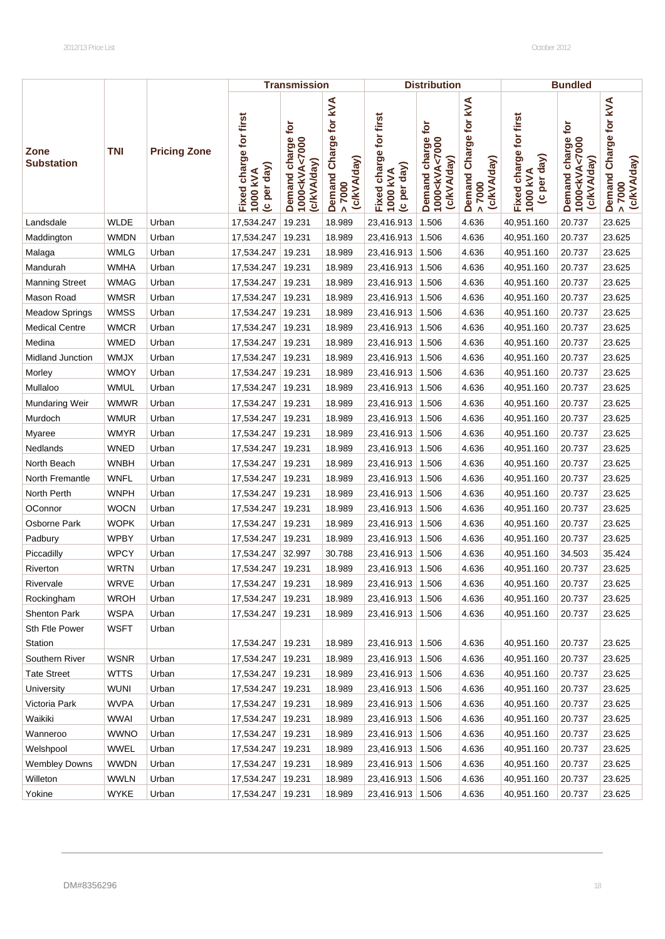|                           |             |                     |                                                   | <b>Transmission</b>                                              |                                                |                                                   | <b>Distribution</b>                                                        |                                                |                                                   | <b>Bundled</b>                                                    |                                                |
|---------------------------|-------------|---------------------|---------------------------------------------------|------------------------------------------------------------------|------------------------------------------------|---------------------------------------------------|----------------------------------------------------------------------------|------------------------------------------------|---------------------------------------------------|-------------------------------------------------------------------|------------------------------------------------|
| Zone<br><b>Substation</b> | <b>TNI</b>  | <b>Pricing Zone</b> | Fixed charge for first<br>(c per day)<br>1000 kVA | Demand charge for<br>1000 <kva<7000<br>(c/kVA/day)</kva<7000<br> | Demand Charge for kVA<br>(c/kVA/day)<br>> 7000 | Fixed charge for first<br>(c per day)<br>1000 kVA | charge for<br>Demand charge<br>1000 <kva<7000<br>(c/kVA/day)</kva<7000<br> | Demand Charge for kVA<br>(c/kVA/day)<br>> 7000 | Fixed charge for first<br>(c per day)<br>1000 kVA | ē<br>Demand charge<br>1000 <kva<7000<br>(c/kVA/day)</kva<7000<br> | Demand Charge for kVA<br>(c/kVA/day)<br>> 7000 |
| Landsdale                 | <b>WLDE</b> | Urban               | 17,534.247                                        | 19.231                                                           | 18.989                                         | 23,416.913                                        | 1.506                                                                      | 4.636                                          | 40,951.160                                        | 20.737                                                            | 23.625                                         |
| Maddington                | <b>WMDN</b> | Urban               | 17,534.247                                        | 19.231                                                           | 18.989                                         | 23,416.913                                        | 1.506                                                                      | 4.636                                          | 40,951.160                                        | 20.737                                                            | 23.625                                         |
| Malaga                    | <b>WMLG</b> | Urban               | 17,534.247                                        | 19.231                                                           | 18.989                                         | 23,416.913                                        | 1.506                                                                      | 4.636                                          | 40,951.160                                        | 20.737                                                            | 23.625                                         |
| Mandurah                  | <b>WMHA</b> | Urban               | 17,534.247                                        | 19.231                                                           | 18.989                                         | 23,416.913 1.506                                  |                                                                            | 4.636                                          | 40,951.160                                        | 20.737                                                            | 23.625                                         |
| <b>Manning Street</b>     | WMAG        | Urban               | 17,534.247                                        | 19.231                                                           | 18.989                                         | 23,416.913                                        | 1.506                                                                      | 4.636                                          | 40,951.160                                        | 20.737                                                            | 23.625                                         |
| Mason Road                | <b>WMSR</b> | Urban               | 17,534.247                                        | 19.231                                                           | 18.989                                         | 23,416.913                                        | 1.506                                                                      | 4.636                                          | 40,951.160                                        | 20.737                                                            | 23.625                                         |
| <b>Meadow Springs</b>     | <b>WMSS</b> | Urban               | 17,534.247                                        | 19.231                                                           | 18.989                                         | 23,416.913                                        | 1.506                                                                      | 4.636                                          | 40,951.160                                        | 20.737                                                            | 23.625                                         |
| <b>Medical Centre</b>     | <b>WMCR</b> | Urban               | 17,534.247                                        | 19.231                                                           | 18.989                                         | 23,416.913   1.506                                |                                                                            | 4.636                                          | 40,951.160                                        | 20.737                                                            | 23.625                                         |
| Medina                    | <b>WMED</b> | Urban               | 17,534.247                                        | 19.231                                                           | 18.989                                         | 23,416.913                                        | 1.506                                                                      | 4.636                                          | 40,951.160                                        | 20.737                                                            | 23.625                                         |
| Midland Junction          | <b>WMJX</b> | Urban               | 17,534.247                                        | 19.231                                                           | 18.989                                         | 23,416.913                                        | 1.506                                                                      | 4.636                                          | 40,951.160                                        | 20.737                                                            | 23.625                                         |
| Morley                    | <b>WMOY</b> | Urban               | 17,534.247                                        | 19.231                                                           | 18.989                                         | 23,416.913                                        | 1.506                                                                      | 4.636                                          | 40,951.160                                        | 20.737                                                            | 23.625                                         |
| Mullaloo                  | <b>WMUL</b> | Urban               | 17,534.247                                        | 19.231                                                           | 18.989                                         | 23,416.913 1.506                                  |                                                                            | 4.636                                          | 40,951.160                                        | 20.737                                                            | 23.625                                         |
| Mundaring Weir            | <b>WMWR</b> | Urban               | 17,534.247                                        | 19.231                                                           | 18.989                                         | 23,416.913                                        | 1.506                                                                      | 4.636                                          | 40,951.160                                        | 20.737                                                            | 23.625                                         |
| Murdoch                   | <b>WMUR</b> | Urban               | 17,534.247                                        | 19.231                                                           | 18.989                                         | 23,416.913                                        | 1.506                                                                      | 4.636                                          | 40,951.160                                        | 20.737                                                            | 23.625                                         |
| Myaree                    | <b>WMYR</b> | Urban               | 17,534.247                                        | 19.231                                                           | 18.989                                         | 23,416.913                                        | 1.506                                                                      | 4.636                                          | 40,951.160                                        | 20.737                                                            | 23.625                                         |
| Nedlands                  | <b>WNED</b> | Urban               | 17,534.247                                        | 19.231                                                           | 18.989                                         | 23,416.913   1.506                                |                                                                            | 4.636                                          | 40,951.160                                        | 20.737                                                            | 23.625                                         |
| North Beach               | <b>WNBH</b> | Urban               | 17,534.247                                        | 19.231                                                           | 18.989                                         | 23,416.913                                        | 1.506                                                                      | 4.636                                          | 40,951.160                                        | 20.737                                                            | 23.625                                         |
| North Fremantle           | <b>WNFL</b> | Urban               | 17,534.247                                        | 19.231                                                           | 18.989                                         | 23,416.913                                        | 1.506                                                                      | 4.636                                          | 40,951.160                                        | 20.737                                                            | 23.625                                         |
| North Perth               | <b>WNPH</b> | Urban               | 17,534.247                                        | 19.231                                                           | 18.989                                         | 23,416.913                                        | 1.506                                                                      | 4.636                                          | 40,951.160                                        | 20.737                                                            | 23.625                                         |
| OConnor                   | <b>WOCN</b> | Urban               | 17,534.247                                        | 19.231                                                           | 18.989                                         | 23,416.913 1.506                                  |                                                                            | 4.636                                          | 40,951.160                                        | 20.737                                                            | 23.625                                         |
| Osborne Park              | <b>WOPK</b> | Urban               | 17,534.247                                        | 19.231                                                           | 18.989                                         | 23,416.913                                        | 1.506                                                                      | 4.636                                          | 40,951.160                                        | 20.737                                                            | 23.625                                         |
| Padbury                   | <b>WPBY</b> | Urban               | 17,534.247                                        | 19.231                                                           | 18.989                                         | 23,416.913                                        | 1.506                                                                      | 4.636                                          | 40,951.160                                        | 20.737                                                            | 23.625                                         |
| Piccadilly                | <b>WPCY</b> | Urban               | 17,534.247                                        | 32.997                                                           | 30.788                                         | 23,416.913                                        | 1.506                                                                      | 4.636                                          | 40,951.160                                        | 34.503                                                            | 35.424                                         |
| Riverton                  | <b>WRTN</b> | Urban               | 17,534.247                                        | 19.231                                                           | 18.989                                         | 23,416.913   1.506                                |                                                                            | 4.636                                          | 40,951.160                                        | 20.737                                                            | 23.625                                         |
| Rivervale                 | WRVE        | Urban               | 17,534.247   19.231                               |                                                                  | 18.989                                         | 23,416.913 1.506                                  |                                                                            | 4.636                                          | 40,951.160                                        | 20.737                                                            | 23.625                                         |
| Rockingham                | <b>WROH</b> | Urban               | 17,534.247                                        | 19.231                                                           | 18.989                                         | 23,416.913   1.506                                |                                                                            | 4.636                                          | 40,951.160                                        | 20.737                                                            | 23.625                                         |
| Shenton Park              | <b>WSPA</b> | Urban               | 17,534.247                                        | 19.231                                                           | 18.989                                         | 23,416.913 1.506                                  |                                                                            | 4.636                                          | 40,951.160                                        | 20.737                                                            | 23.625                                         |
| Sth Ftle Power            | WSFT        | Urban               |                                                   |                                                                  |                                                |                                                   |                                                                            |                                                |                                                   |                                                                   |                                                |
| Station                   |             |                     | 17,534.247                                        | 19.231                                                           | 18.989                                         | 23,416.913 1.506                                  |                                                                            | 4.636                                          | 40,951.160                                        | 20.737                                                            | 23.625                                         |
| Southern River            | <b>WSNR</b> | Urban               | 17,534.247   19.231                               |                                                                  | 18.989                                         | 23,416.913   1.506                                |                                                                            | 4.636                                          | 40,951.160                                        | 20.737                                                            | 23.625                                         |
| <b>Tate Street</b>        | <b>WTTS</b> | Urban               | 17,534.247                                        | 19.231                                                           | 18.989                                         | 23,416.913   1.506                                |                                                                            | 4.636                                          | 40,951.160                                        | 20.737                                                            | 23.625                                         |
| University                | <b>WUNI</b> | Urban               | 17,534.247   19.231                               |                                                                  | 18.989                                         | 23,416.913 1.506                                  |                                                                            | 4.636                                          | 40,951.160                                        | 20.737                                                            | 23.625                                         |
| Victoria Park             | <b>WVPA</b> | Urban               | 17,534.247   19.231                               |                                                                  | 18.989                                         | 23,416.913 1.506                                  |                                                                            | 4.636                                          | 40,951.160                                        | 20.737                                                            | 23.625                                         |
| Waikiki                   | <b>WWAI</b> | Urban               | 17,534.247   19.231                               |                                                                  | 18.989                                         | 23,416.913   1.506                                |                                                                            | 4.636                                          | 40,951.160                                        | 20.737                                                            | 23.625                                         |
| Wanneroo                  | <b>WWNO</b> | Urban               | 17,534.247                                        | 19.231                                                           | 18.989                                         | 23,416.913 1.506                                  |                                                                            | 4.636                                          | 40,951.160                                        | 20.737                                                            | 23.625                                         |
| Welshpool                 | <b>WWEL</b> | Urban               | 17,534.247   19.231                               |                                                                  | 18.989                                         | 23,416.913 1.506                                  |                                                                            | 4.636                                          | 40,951.160                                        | 20.737                                                            | 23.625                                         |
| <b>Wembley Downs</b>      | <b>WWDN</b> | Urban               | 17,534.247   19.231                               |                                                                  | 18.989                                         | 23,416.913 1.506                                  |                                                                            | 4.636                                          | 40,951.160                                        | 20.737                                                            | 23.625                                         |
| Willeton                  | <b>WWLN</b> | Urban               | 17,534.247   19.231                               |                                                                  | 18.989                                         | 23,416.913   1.506                                |                                                                            | 4.636                                          | 40,951.160                                        | 20.737                                                            | 23.625                                         |
| Yokine                    | <b>WYKE</b> | Urban               | 17,534.247   19.231                               |                                                                  | 18.989                                         | 23,416.913 1.506                                  |                                                                            | 4.636                                          | 40,951.160                                        | 20.737                                                            | 23.625                                         |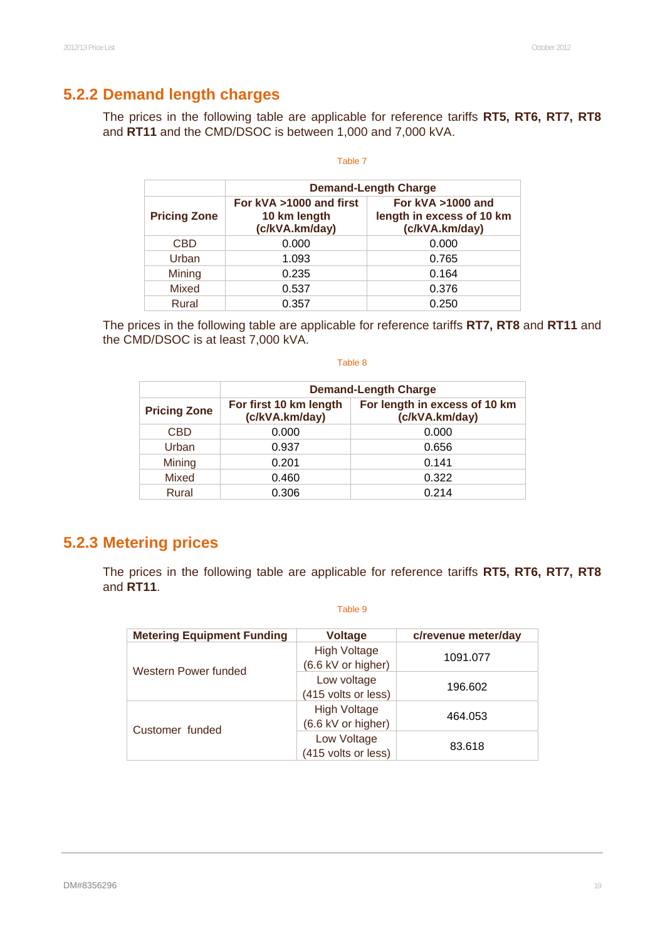### **5.2.2 Demand length charges**

The prices in the following table are applicable for reference tariffs **RT5, RT6, RT7, RT8**  and **RT11** and the CMD/DSOC is between 1,000 and 7,000 kVA.

#### Table 7

|                     | <b>Demand-Length Charge</b>                               |                                                                     |  |  |  |  |  |
|---------------------|-----------------------------------------------------------|---------------------------------------------------------------------|--|--|--|--|--|
| <b>Pricing Zone</b> | For kVA >1000 and first<br>10 km length<br>(c/kVA.km/day) | For $kVA > 1000$ and<br>length in excess of 10 km<br>(c/kVA.km/day) |  |  |  |  |  |
| <b>CBD</b>          | 0.000                                                     | 0.000                                                               |  |  |  |  |  |
| Urban               | 1.093                                                     | 0.765                                                               |  |  |  |  |  |
| Mining              | 0.235                                                     | 0.164                                                               |  |  |  |  |  |
| Mixed               | 0.537                                                     | 0.376                                                               |  |  |  |  |  |
| Rural               | 0.357                                                     | 0.250                                                               |  |  |  |  |  |

The prices in the following table are applicable for reference tariffs **RT7, RT8** and **RT11** and the CMD/DSOC is at least 7,000 kVA.

#### Table 8

|                     | <b>Demand-Length Charge</b>              |                                                 |  |  |  |  |  |
|---------------------|------------------------------------------|-------------------------------------------------|--|--|--|--|--|
| <b>Pricing Zone</b> | For first 10 km length<br>(c/kVA.km/day) | For length in excess of 10 km<br>(c/kVA.km/day) |  |  |  |  |  |
| <b>CBD</b>          | 0.000                                    | 0.000                                           |  |  |  |  |  |
| Urban               | 0.937                                    | 0.656                                           |  |  |  |  |  |
| Mining              | 0.201                                    | 0.141                                           |  |  |  |  |  |
| Mixed               | 0.460                                    | 0.322                                           |  |  |  |  |  |
| Rural               | 0.306                                    | 0.214                                           |  |  |  |  |  |

### **5.2.3 Metering prices**

The prices in the following table are applicable for reference tariffs **RT5, RT6, RT7, RT8**  and **RT11**.

| <b>Metering Equipment Funding</b> | <b>Voltage</b>                            | c/revenue meter/day |
|-----------------------------------|-------------------------------------------|---------------------|
|                                   | <b>High Voltage</b><br>(6.6 kV or higher) | 1091.077            |
| Western Power funded              | Low voltage<br>(415 volts or less)        | 196.602             |
| Customer funded                   | <b>High Voltage</b><br>(6.6 kV or higher) | 464.053             |
|                                   | Low Voltage<br>(415 volts or less)        | 83.618              |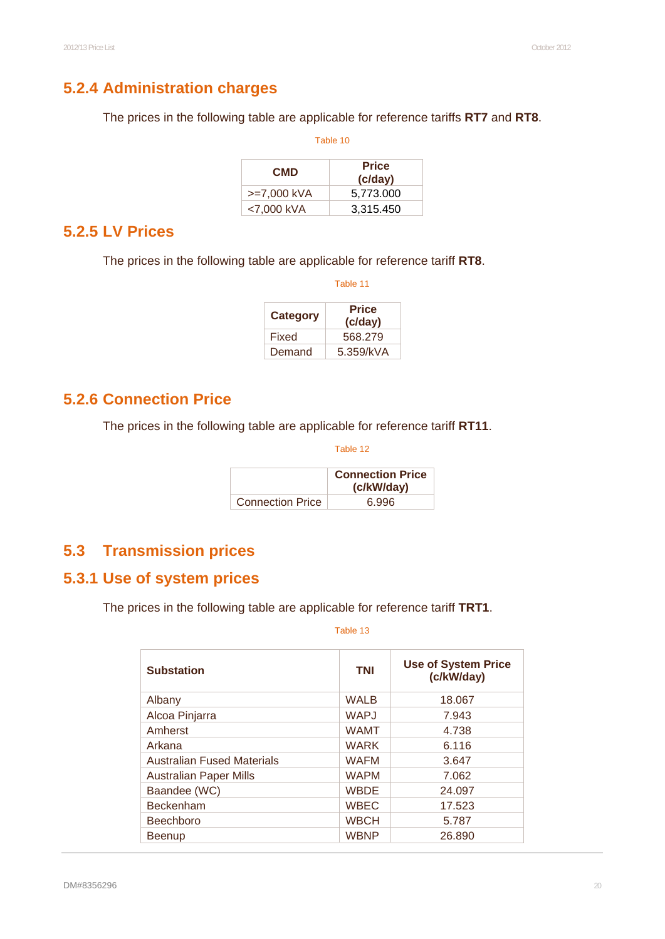# **5.2.4 Administration charges**

The prices in the following table are applicable for reference tariffs **RT7** and **RT8**.

| Table 10    |                         |  |
|-------------|-------------------------|--|
| <b>CMD</b>  | <b>Price</b><br>(c/day) |  |
| >=7,000 kVA | 5,773.000               |  |
| <7,000 kVA  | 3,315.450               |  |

#### **5.2.5 LV Prices**

The prices in the following table are applicable for reference tariff **RT8**.

| Table 11 |                         |
|----------|-------------------------|
| Category | <b>Price</b><br>(c/day) |
| Fixed    | 568.279                 |
| Demand   | 5.359/kVA               |

#### **5.2.6 Connection Price**

The prices in the following table are applicable for reference tariff **RT11**.

Table 12

|                         | <b>Connection Price</b><br>(c/kW/day) |
|-------------------------|---------------------------------------|
| <b>Connection Price</b> | 6.996                                 |

# **5.3 Transmission prices**

### **5.3.1 Use of system prices**

The prices in the following table are applicable for reference tariff **TRT1**.

| <b>Substation</b>                 | <b>TNI</b>  | <b>Use of System Price</b><br>(c/kW/day) |
|-----------------------------------|-------------|------------------------------------------|
| Albany                            | <b>WALB</b> | 18.067                                   |
| Alcoa Pinjarra                    | <b>WAPJ</b> | 7.943                                    |
| Amherst                           | <b>WAMT</b> | 4.738                                    |
| Arkana                            | <b>WARK</b> | 6.116                                    |
| <b>Australian Fused Materials</b> | <b>WAFM</b> | 3.647                                    |
| <b>Australian Paper Mills</b>     | <b>WAPM</b> | 7.062                                    |
| Baandee (WC)                      | <b>WBDE</b> | 24.097                                   |
| <b>Beckenham</b>                  | <b>WBEC</b> | 17.523                                   |
| <b>Beechboro</b>                  | <b>WBCH</b> | 5.787                                    |
| <b>Beenup</b>                     | <b>WBNP</b> | 26.890                                   |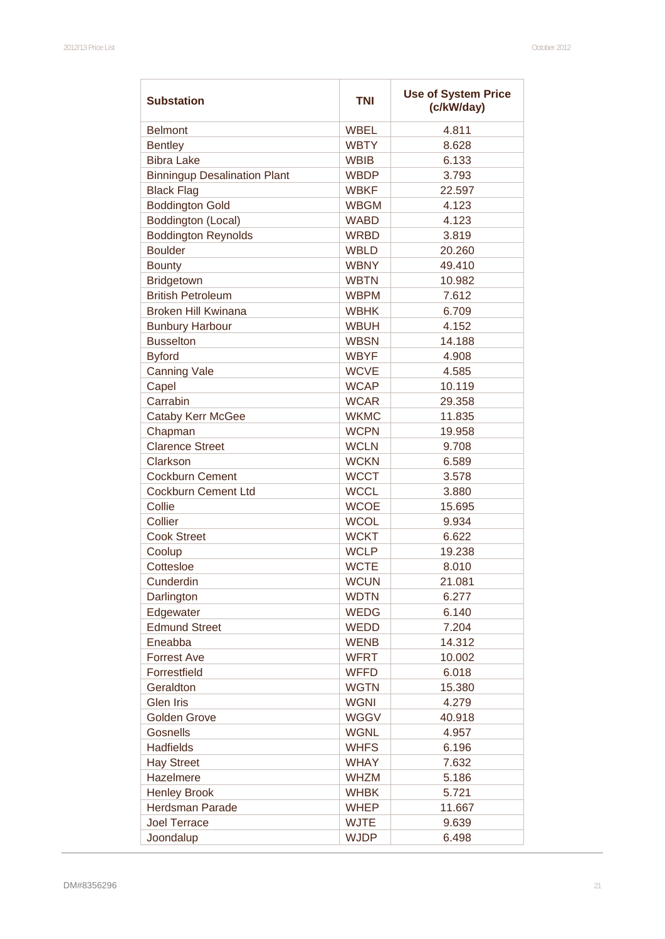| <b>Substation</b>                   | <b>TNI</b>  | <b>Use of System Price</b><br>(c/kW/day) |  |
|-------------------------------------|-------------|------------------------------------------|--|
| <b>Belmont</b>                      | <b>WBEL</b> | 4.811                                    |  |
| <b>Bentley</b>                      | <b>WBTY</b> | 8.628                                    |  |
| <b>Bibra Lake</b>                   | <b>WBIB</b> | 6.133                                    |  |
| <b>Binningup Desalination Plant</b> | <b>WBDP</b> | 3.793                                    |  |
| <b>Black Flag</b>                   | <b>WBKF</b> | 22.597                                   |  |
| <b>Boddington Gold</b>              | <b>WBGM</b> | 4.123                                    |  |
| Boddington (Local)                  | <b>WABD</b> | 4.123                                    |  |
| <b>Boddington Reynolds</b>          | <b>WRBD</b> | 3.819                                    |  |
| <b>Boulder</b>                      | <b>WBLD</b> | 20.260                                   |  |
| <b>Bounty</b>                       | <b>WBNY</b> | 49.410                                   |  |
| Bridgetown                          | <b>WBTN</b> | 10.982                                   |  |
| <b>British Petroleum</b>            | <b>WBPM</b> | 7.612                                    |  |
| <b>Broken Hill Kwinana</b>          | <b>WBHK</b> | 6.709                                    |  |
| <b>Bunbury Harbour</b>              | <b>WBUH</b> | 4.152                                    |  |
| <b>Busselton</b>                    | <b>WBSN</b> | 14.188                                   |  |
| <b>Byford</b>                       | <b>WBYF</b> | 4.908                                    |  |
| <b>Canning Vale</b>                 | <b>WCVE</b> | 4.585                                    |  |
| Capel                               | <b>WCAP</b> | 10.119                                   |  |
| Carrabin                            | <b>WCAR</b> | 29.358                                   |  |
|                                     | <b>WKMC</b> | 11.835                                   |  |
| <b>Cataby Kerr McGee</b>            | <b>WCPN</b> | 19.958                                   |  |
| Chapman                             | <b>WCLN</b> |                                          |  |
| <b>Clarence Street</b>              |             | 9.708                                    |  |
| Clarkson                            | <b>WCKN</b> | 6.589                                    |  |
| <b>Cockburn Cement</b>              | <b>WCCT</b> | 3.578                                    |  |
| <b>Cockburn Cement Ltd</b>          | <b>WCCL</b> | 3.880                                    |  |
| Collie                              | <b>WCOE</b> | 15.695                                   |  |
| Collier                             | <b>WCOL</b> | 9.934                                    |  |
| <b>Cook Street</b>                  | <b>WCKT</b> | 6.622                                    |  |
| Coolup                              | <b>WCLP</b> | 19.238                                   |  |
| Cottesloe                           | <b>WCTE</b> | 8.010                                    |  |
| Cunderdin                           | <b>WCUN</b> | 21.081                                   |  |
| Darlington                          | <b>WDTN</b> | 6.277                                    |  |
| Edgewater                           | <b>WEDG</b> | 6.140                                    |  |
| <b>Edmund Street</b>                | <b>WEDD</b> | 7.204                                    |  |
| Eneabba                             | <b>WENB</b> | 14.312                                   |  |
| <b>Forrest Ave</b>                  | <b>WFRT</b> | 10.002                                   |  |
| Forrestfield                        | <b>WFFD</b> | 6.018                                    |  |
| Geraldton                           | <b>WGTN</b> | 15.380                                   |  |
| <b>Glen Iris</b>                    | <b>WGNI</b> | 4.279                                    |  |
| <b>Golden Grove</b>                 | <b>WGGV</b> | 40.918                                   |  |
| <b>Gosnells</b>                     | <b>WGNL</b> | 4.957                                    |  |
| <b>Hadfields</b>                    | <b>WHFS</b> | 6.196                                    |  |
| <b>Hay Street</b>                   | <b>WHAY</b> | 7.632                                    |  |
| Hazelmere                           | <b>WHZM</b> | 5.186                                    |  |
| <b>Henley Brook</b>                 | <b>WHBK</b> | 5.721                                    |  |
| <b>Herdsman Parade</b>              | <b>WHEP</b> | 11.667                                   |  |
| <b>Joel Terrace</b>                 | <b>WJTE</b> | 9.639                                    |  |
| Joondalup                           | <b>WJDP</b> | 6.498                                    |  |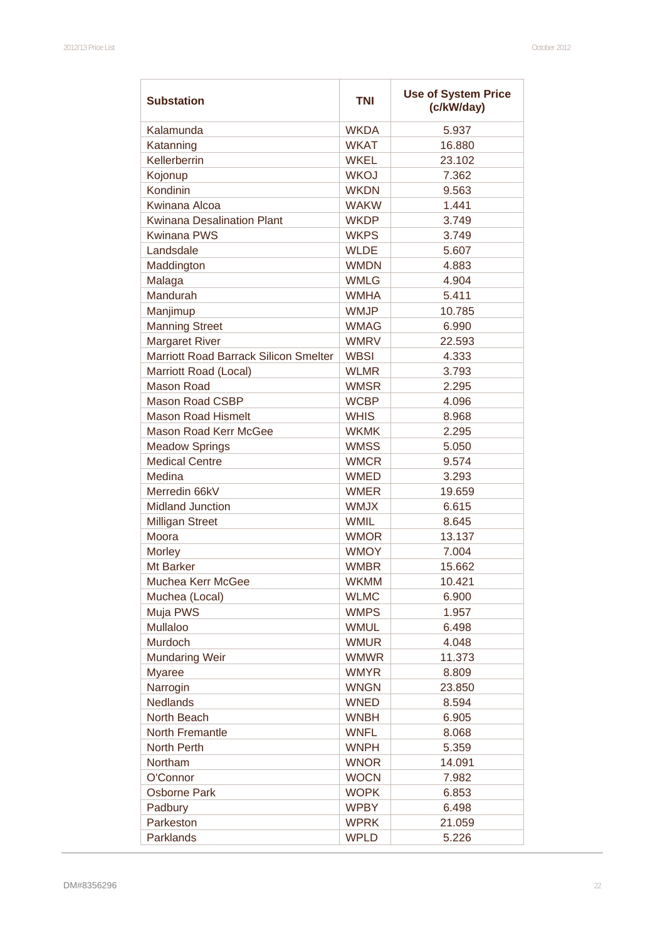| Kalamunda<br><b>WKDA</b><br>5.937<br>Katanning<br><b>WKAT</b><br>16.880<br>Kellerberrin<br><b>WKEL</b><br>23.102<br><b>WKOJ</b><br>Kojonup<br>7.362<br>Kondinin<br><b>WKDN</b><br>9.563<br>Kwinana Alcoa<br><b>WAKW</b><br>1.441<br><b>Kwinana Desalination Plant</b><br>3.749<br><b>WKDP</b><br><b>Kwinana PWS</b><br><b>WKPS</b><br>3.749<br>Landsdale<br><b>WLDE</b><br>5.607<br>Maddington<br><b>WMDN</b><br>4.883<br>Malaga<br><b>WMLG</b><br>4.904<br>Mandurah<br><b>WMHA</b><br>5.411<br>Manjimup<br><b>WMJP</b><br>10.785<br><b>Manning Street</b><br><b>WMAG</b><br>6.990<br><b>Margaret River</b><br><b>WMRV</b><br>22.593<br>Marriott Road Barrack Silicon Smelter<br><b>WBSI</b><br>4.333<br>Marriott Road (Local)<br><b>WLMR</b><br>3.793<br><b>Mason Road</b><br><b>WMSR</b><br>2.295<br><b>Mason Road CSBP</b><br><b>WCBP</b><br>4.096<br><b>Mason Road Hismelt</b><br><b>WHIS</b><br>8.968<br>Mason Road Kerr McGee<br><b>WKMK</b><br>2.295<br><b>Meadow Springs</b><br><b>WMSS</b><br>5.050<br><b>Medical Centre</b><br><b>WMCR</b><br>9.574<br>Medina<br><b>WMED</b><br>3.293<br>Merredin 66kV<br><b>WMER</b><br>19.659<br><b>Midland Junction</b><br><b>WMJX</b><br>6.615<br><b>Milligan Street</b><br><b>WMIL</b><br>8.645<br>Moora<br><b>WMOR</b><br>13.137<br><b>Morley</b><br><b>WMOY</b><br>7.004<br>Mt Barker<br><b>WMBR</b><br>15.662<br><b>WKMM</b><br>10.421<br>Muchea Kerr McGee<br><b>WLMC</b><br>Muchea (Local)<br>6.900<br>Muja PWS<br><b>WMPS</b><br>1.957<br>Mullaloo<br><b>WMUL</b><br>6.498<br>Murdoch<br><b>WMUR</b><br>4.048<br><b>Mundaring Weir</b><br><b>WMWR</b><br>11.373<br><b>WMYR</b><br>8.809<br><b>Myaree</b><br>Narrogin<br><b>WNGN</b><br>23.850<br><b>Nedlands</b><br><b>WNED</b><br>8.594 | <b>Substation</b> | <b>Use of System Price</b><br><b>TNI</b><br>(c/kW/day) |       |
|-----------------------------------------------------------------------------------------------------------------------------------------------------------------------------------------------------------------------------------------------------------------------------------------------------------------------------------------------------------------------------------------------------------------------------------------------------------------------------------------------------------------------------------------------------------------------------------------------------------------------------------------------------------------------------------------------------------------------------------------------------------------------------------------------------------------------------------------------------------------------------------------------------------------------------------------------------------------------------------------------------------------------------------------------------------------------------------------------------------------------------------------------------------------------------------------------------------------------------------------------------------------------------------------------------------------------------------------------------------------------------------------------------------------------------------------------------------------------------------------------------------------------------------------------------------------------------------------------------------------------------------------------------------------------------------------------------------------------------------------------|-------------------|--------------------------------------------------------|-------|
|                                                                                                                                                                                                                                                                                                                                                                                                                                                                                                                                                                                                                                                                                                                                                                                                                                                                                                                                                                                                                                                                                                                                                                                                                                                                                                                                                                                                                                                                                                                                                                                                                                                                                                                                               |                   |                                                        |       |
|                                                                                                                                                                                                                                                                                                                                                                                                                                                                                                                                                                                                                                                                                                                                                                                                                                                                                                                                                                                                                                                                                                                                                                                                                                                                                                                                                                                                                                                                                                                                                                                                                                                                                                                                               |                   |                                                        |       |
|                                                                                                                                                                                                                                                                                                                                                                                                                                                                                                                                                                                                                                                                                                                                                                                                                                                                                                                                                                                                                                                                                                                                                                                                                                                                                                                                                                                                                                                                                                                                                                                                                                                                                                                                               |                   |                                                        |       |
|                                                                                                                                                                                                                                                                                                                                                                                                                                                                                                                                                                                                                                                                                                                                                                                                                                                                                                                                                                                                                                                                                                                                                                                                                                                                                                                                                                                                                                                                                                                                                                                                                                                                                                                                               |                   |                                                        |       |
|                                                                                                                                                                                                                                                                                                                                                                                                                                                                                                                                                                                                                                                                                                                                                                                                                                                                                                                                                                                                                                                                                                                                                                                                                                                                                                                                                                                                                                                                                                                                                                                                                                                                                                                                               |                   |                                                        |       |
|                                                                                                                                                                                                                                                                                                                                                                                                                                                                                                                                                                                                                                                                                                                                                                                                                                                                                                                                                                                                                                                                                                                                                                                                                                                                                                                                                                                                                                                                                                                                                                                                                                                                                                                                               |                   |                                                        |       |
|                                                                                                                                                                                                                                                                                                                                                                                                                                                                                                                                                                                                                                                                                                                                                                                                                                                                                                                                                                                                                                                                                                                                                                                                                                                                                                                                                                                                                                                                                                                                                                                                                                                                                                                                               |                   |                                                        |       |
|                                                                                                                                                                                                                                                                                                                                                                                                                                                                                                                                                                                                                                                                                                                                                                                                                                                                                                                                                                                                                                                                                                                                                                                                                                                                                                                                                                                                                                                                                                                                                                                                                                                                                                                                               |                   |                                                        |       |
|                                                                                                                                                                                                                                                                                                                                                                                                                                                                                                                                                                                                                                                                                                                                                                                                                                                                                                                                                                                                                                                                                                                                                                                                                                                                                                                                                                                                                                                                                                                                                                                                                                                                                                                                               |                   |                                                        |       |
|                                                                                                                                                                                                                                                                                                                                                                                                                                                                                                                                                                                                                                                                                                                                                                                                                                                                                                                                                                                                                                                                                                                                                                                                                                                                                                                                                                                                                                                                                                                                                                                                                                                                                                                                               |                   |                                                        |       |
|                                                                                                                                                                                                                                                                                                                                                                                                                                                                                                                                                                                                                                                                                                                                                                                                                                                                                                                                                                                                                                                                                                                                                                                                                                                                                                                                                                                                                                                                                                                                                                                                                                                                                                                                               |                   |                                                        |       |
|                                                                                                                                                                                                                                                                                                                                                                                                                                                                                                                                                                                                                                                                                                                                                                                                                                                                                                                                                                                                                                                                                                                                                                                                                                                                                                                                                                                                                                                                                                                                                                                                                                                                                                                                               |                   |                                                        |       |
|                                                                                                                                                                                                                                                                                                                                                                                                                                                                                                                                                                                                                                                                                                                                                                                                                                                                                                                                                                                                                                                                                                                                                                                                                                                                                                                                                                                                                                                                                                                                                                                                                                                                                                                                               |                   |                                                        |       |
|                                                                                                                                                                                                                                                                                                                                                                                                                                                                                                                                                                                                                                                                                                                                                                                                                                                                                                                                                                                                                                                                                                                                                                                                                                                                                                                                                                                                                                                                                                                                                                                                                                                                                                                                               |                   |                                                        |       |
|                                                                                                                                                                                                                                                                                                                                                                                                                                                                                                                                                                                                                                                                                                                                                                                                                                                                                                                                                                                                                                                                                                                                                                                                                                                                                                                                                                                                                                                                                                                                                                                                                                                                                                                                               |                   |                                                        |       |
|                                                                                                                                                                                                                                                                                                                                                                                                                                                                                                                                                                                                                                                                                                                                                                                                                                                                                                                                                                                                                                                                                                                                                                                                                                                                                                                                                                                                                                                                                                                                                                                                                                                                                                                                               |                   |                                                        |       |
|                                                                                                                                                                                                                                                                                                                                                                                                                                                                                                                                                                                                                                                                                                                                                                                                                                                                                                                                                                                                                                                                                                                                                                                                                                                                                                                                                                                                                                                                                                                                                                                                                                                                                                                                               |                   |                                                        |       |
|                                                                                                                                                                                                                                                                                                                                                                                                                                                                                                                                                                                                                                                                                                                                                                                                                                                                                                                                                                                                                                                                                                                                                                                                                                                                                                                                                                                                                                                                                                                                                                                                                                                                                                                                               |                   |                                                        |       |
|                                                                                                                                                                                                                                                                                                                                                                                                                                                                                                                                                                                                                                                                                                                                                                                                                                                                                                                                                                                                                                                                                                                                                                                                                                                                                                                                                                                                                                                                                                                                                                                                                                                                                                                                               |                   |                                                        |       |
|                                                                                                                                                                                                                                                                                                                                                                                                                                                                                                                                                                                                                                                                                                                                                                                                                                                                                                                                                                                                                                                                                                                                                                                                                                                                                                                                                                                                                                                                                                                                                                                                                                                                                                                                               |                   |                                                        |       |
|                                                                                                                                                                                                                                                                                                                                                                                                                                                                                                                                                                                                                                                                                                                                                                                                                                                                                                                                                                                                                                                                                                                                                                                                                                                                                                                                                                                                                                                                                                                                                                                                                                                                                                                                               |                   |                                                        |       |
|                                                                                                                                                                                                                                                                                                                                                                                                                                                                                                                                                                                                                                                                                                                                                                                                                                                                                                                                                                                                                                                                                                                                                                                                                                                                                                                                                                                                                                                                                                                                                                                                                                                                                                                                               |                   |                                                        |       |
|                                                                                                                                                                                                                                                                                                                                                                                                                                                                                                                                                                                                                                                                                                                                                                                                                                                                                                                                                                                                                                                                                                                                                                                                                                                                                                                                                                                                                                                                                                                                                                                                                                                                                                                                               |                   |                                                        |       |
|                                                                                                                                                                                                                                                                                                                                                                                                                                                                                                                                                                                                                                                                                                                                                                                                                                                                                                                                                                                                                                                                                                                                                                                                                                                                                                                                                                                                                                                                                                                                                                                                                                                                                                                                               |                   |                                                        |       |
|                                                                                                                                                                                                                                                                                                                                                                                                                                                                                                                                                                                                                                                                                                                                                                                                                                                                                                                                                                                                                                                                                                                                                                                                                                                                                                                                                                                                                                                                                                                                                                                                                                                                                                                                               |                   |                                                        |       |
|                                                                                                                                                                                                                                                                                                                                                                                                                                                                                                                                                                                                                                                                                                                                                                                                                                                                                                                                                                                                                                                                                                                                                                                                                                                                                                                                                                                                                                                                                                                                                                                                                                                                                                                                               |                   |                                                        |       |
|                                                                                                                                                                                                                                                                                                                                                                                                                                                                                                                                                                                                                                                                                                                                                                                                                                                                                                                                                                                                                                                                                                                                                                                                                                                                                                                                                                                                                                                                                                                                                                                                                                                                                                                                               |                   |                                                        |       |
|                                                                                                                                                                                                                                                                                                                                                                                                                                                                                                                                                                                                                                                                                                                                                                                                                                                                                                                                                                                                                                                                                                                                                                                                                                                                                                                                                                                                                                                                                                                                                                                                                                                                                                                                               |                   |                                                        |       |
|                                                                                                                                                                                                                                                                                                                                                                                                                                                                                                                                                                                                                                                                                                                                                                                                                                                                                                                                                                                                                                                                                                                                                                                                                                                                                                                                                                                                                                                                                                                                                                                                                                                                                                                                               |                   |                                                        |       |
|                                                                                                                                                                                                                                                                                                                                                                                                                                                                                                                                                                                                                                                                                                                                                                                                                                                                                                                                                                                                                                                                                                                                                                                                                                                                                                                                                                                                                                                                                                                                                                                                                                                                                                                                               |                   |                                                        |       |
|                                                                                                                                                                                                                                                                                                                                                                                                                                                                                                                                                                                                                                                                                                                                                                                                                                                                                                                                                                                                                                                                                                                                                                                                                                                                                                                                                                                                                                                                                                                                                                                                                                                                                                                                               |                   |                                                        |       |
|                                                                                                                                                                                                                                                                                                                                                                                                                                                                                                                                                                                                                                                                                                                                                                                                                                                                                                                                                                                                                                                                                                                                                                                                                                                                                                                                                                                                                                                                                                                                                                                                                                                                                                                                               |                   |                                                        |       |
|                                                                                                                                                                                                                                                                                                                                                                                                                                                                                                                                                                                                                                                                                                                                                                                                                                                                                                                                                                                                                                                                                                                                                                                                                                                                                                                                                                                                                                                                                                                                                                                                                                                                                                                                               |                   |                                                        |       |
|                                                                                                                                                                                                                                                                                                                                                                                                                                                                                                                                                                                                                                                                                                                                                                                                                                                                                                                                                                                                                                                                                                                                                                                                                                                                                                                                                                                                                                                                                                                                                                                                                                                                                                                                               |                   |                                                        |       |
|                                                                                                                                                                                                                                                                                                                                                                                                                                                                                                                                                                                                                                                                                                                                                                                                                                                                                                                                                                                                                                                                                                                                                                                                                                                                                                                                                                                                                                                                                                                                                                                                                                                                                                                                               |                   |                                                        |       |
|                                                                                                                                                                                                                                                                                                                                                                                                                                                                                                                                                                                                                                                                                                                                                                                                                                                                                                                                                                                                                                                                                                                                                                                                                                                                                                                                                                                                                                                                                                                                                                                                                                                                                                                                               |                   |                                                        |       |
|                                                                                                                                                                                                                                                                                                                                                                                                                                                                                                                                                                                                                                                                                                                                                                                                                                                                                                                                                                                                                                                                                                                                                                                                                                                                                                                                                                                                                                                                                                                                                                                                                                                                                                                                               |                   |                                                        |       |
|                                                                                                                                                                                                                                                                                                                                                                                                                                                                                                                                                                                                                                                                                                                                                                                                                                                                                                                                                                                                                                                                                                                                                                                                                                                                                                                                                                                                                                                                                                                                                                                                                                                                                                                                               |                   |                                                        |       |
|                                                                                                                                                                                                                                                                                                                                                                                                                                                                                                                                                                                                                                                                                                                                                                                                                                                                                                                                                                                                                                                                                                                                                                                                                                                                                                                                                                                                                                                                                                                                                                                                                                                                                                                                               |                   |                                                        |       |
|                                                                                                                                                                                                                                                                                                                                                                                                                                                                                                                                                                                                                                                                                                                                                                                                                                                                                                                                                                                                                                                                                                                                                                                                                                                                                                                                                                                                                                                                                                                                                                                                                                                                                                                                               |                   |                                                        |       |
|                                                                                                                                                                                                                                                                                                                                                                                                                                                                                                                                                                                                                                                                                                                                                                                                                                                                                                                                                                                                                                                                                                                                                                                                                                                                                                                                                                                                                                                                                                                                                                                                                                                                                                                                               | North Beach       | <b>WNBH</b>                                            | 6.905 |
| <b>WNFL</b><br>North Fremantle<br>8.068                                                                                                                                                                                                                                                                                                                                                                                                                                                                                                                                                                                                                                                                                                                                                                                                                                                                                                                                                                                                                                                                                                                                                                                                                                                                                                                                                                                                                                                                                                                                                                                                                                                                                                       |                   |                                                        |       |
| North Perth<br><b>WNPH</b><br>5.359                                                                                                                                                                                                                                                                                                                                                                                                                                                                                                                                                                                                                                                                                                                                                                                                                                                                                                                                                                                                                                                                                                                                                                                                                                                                                                                                                                                                                                                                                                                                                                                                                                                                                                           |                   |                                                        |       |
| Northam<br><b>WNOR</b><br>14.091                                                                                                                                                                                                                                                                                                                                                                                                                                                                                                                                                                                                                                                                                                                                                                                                                                                                                                                                                                                                                                                                                                                                                                                                                                                                                                                                                                                                                                                                                                                                                                                                                                                                                                              |                   |                                                        |       |
| O'Connor<br><b>WOCN</b><br>7.982                                                                                                                                                                                                                                                                                                                                                                                                                                                                                                                                                                                                                                                                                                                                                                                                                                                                                                                                                                                                                                                                                                                                                                                                                                                                                                                                                                                                                                                                                                                                                                                                                                                                                                              |                   |                                                        |       |
| <b>WOPK</b><br><b>Osborne Park</b><br>6.853                                                                                                                                                                                                                                                                                                                                                                                                                                                                                                                                                                                                                                                                                                                                                                                                                                                                                                                                                                                                                                                                                                                                                                                                                                                                                                                                                                                                                                                                                                                                                                                                                                                                                                   |                   |                                                        |       |
| <b>WPBY</b><br>6.498<br>Padbury                                                                                                                                                                                                                                                                                                                                                                                                                                                                                                                                                                                                                                                                                                                                                                                                                                                                                                                                                                                                                                                                                                                                                                                                                                                                                                                                                                                                                                                                                                                                                                                                                                                                                                               |                   |                                                        |       |
| Parkeston<br><b>WPRK</b><br>21.059                                                                                                                                                                                                                                                                                                                                                                                                                                                                                                                                                                                                                                                                                                                                                                                                                                                                                                                                                                                                                                                                                                                                                                                                                                                                                                                                                                                                                                                                                                                                                                                                                                                                                                            |                   |                                                        |       |
| Parklands<br><b>WPLD</b><br>5.226                                                                                                                                                                                                                                                                                                                                                                                                                                                                                                                                                                                                                                                                                                                                                                                                                                                                                                                                                                                                                                                                                                                                                                                                                                                                                                                                                                                                                                                                                                                                                                                                                                                                                                             |                   |                                                        |       |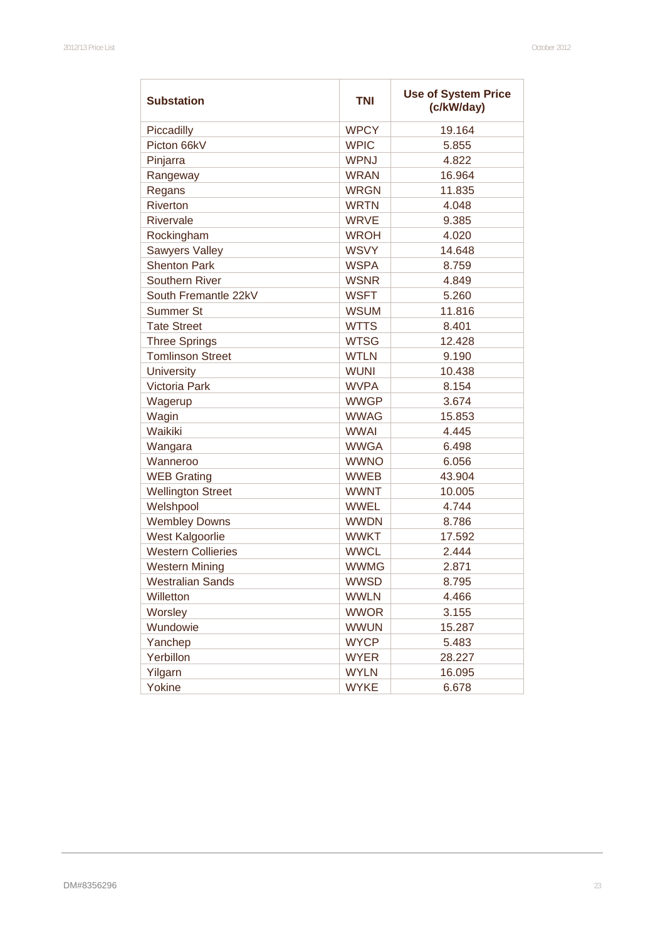| <b>Substation</b>         | <b>Use of System Price</b><br><b>TNI</b><br>(c/kW/day) |        |
|---------------------------|--------------------------------------------------------|--------|
| Piccadilly                | <b>WPCY</b>                                            | 19.164 |
| Picton 66kV               | <b>WPIC</b>                                            | 5.855  |
| Pinjarra                  | <b>WPNJ</b>                                            | 4.822  |
| Rangeway                  | <b>WRAN</b>                                            | 16.964 |
| Regans                    | <b>WRGN</b>                                            | 11.835 |
| Riverton                  | <b>WRTN</b>                                            | 4.048  |
| <b>Rivervale</b>          | <b>WRVE</b>                                            | 9.385  |
| Rockingham                | <b>WROH</b>                                            | 4.020  |
| <b>Sawyers Valley</b>     | <b>WSVY</b>                                            | 14.648 |
| <b>Shenton Park</b>       | <b>WSPA</b>                                            | 8.759  |
| <b>Southern River</b>     | <b>WSNR</b>                                            | 4.849  |
| South Fremantle 22kV      | <b>WSFT</b>                                            | 5.260  |
| <b>Summer St</b>          | <b>WSUM</b>                                            | 11.816 |
| <b>Tate Street</b>        | <b>WTTS</b>                                            | 8.401  |
| <b>Three Springs</b>      | <b>WTSG</b>                                            | 12.428 |
| <b>Tomlinson Street</b>   | <b>WTLN</b>                                            | 9.190  |
| <b>University</b>         | <b>WUNI</b>                                            | 10.438 |
| <b>Victoria Park</b>      | <b>WVPA</b>                                            | 8.154  |
| Wagerup                   | <b>WWGP</b>                                            | 3.674  |
| Wagin                     | <b>WWAG</b>                                            | 15.853 |
| Waikiki                   | <b>WWAI</b>                                            | 4.445  |
| Wangara                   | <b>WWGA</b>                                            | 6.498  |
| Wanneroo                  | <b>WWNO</b>                                            | 6.056  |
| <b>WEB Grating</b>        | <b>WWEB</b>                                            | 43.904 |
| <b>Wellington Street</b>  | <b>WWNT</b>                                            | 10.005 |
| Welshpool                 | <b>WWEL</b>                                            | 4.744  |
| <b>Wembley Downs</b>      | <b>WWDN</b>                                            | 8.786  |
| <b>West Kalgoorlie</b>    | <b>WWKT</b>                                            | 17.592 |
| <b>Western Collieries</b> | <b>WWCL</b>                                            | 2.444  |
| <b>Western Mining</b>     | <b>WWMG</b>                                            | 2.871  |
| <b>Westralian Sands</b>   | <b>WWSD</b>                                            | 8.795  |
| Willetton                 | <b>WWLN</b>                                            | 4.466  |
| Worsley                   | <b>WWOR</b>                                            | 3.155  |
| Wundowie                  | <b>WWUN</b>                                            | 15.287 |
| Yanchep                   | <b>WYCP</b>                                            | 5.483  |
| Yerbillon                 | <b>WYER</b>                                            | 28.227 |
| Yilgarn                   | <b>WYLN</b>                                            | 16.095 |
| Yokine                    | <b>WYKE</b>                                            | 6.678  |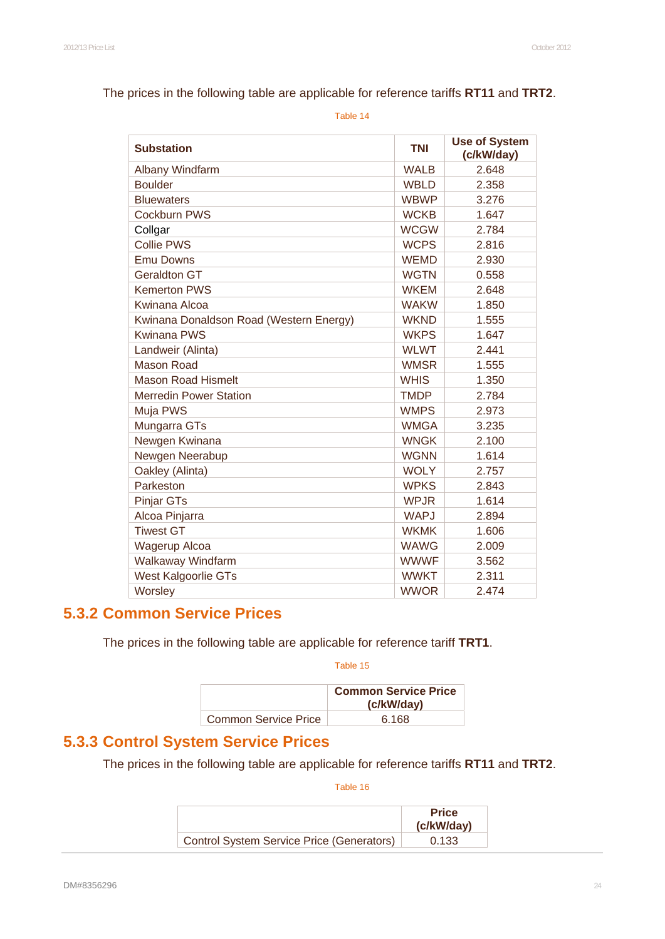#### The prices in the following table are applicable for reference tariffs **RT11** and **TRT2**.

Table 14

| <b>Substation</b>                       | <b>TNI</b>  | <b>Use of System</b><br>(c/kW/day) |
|-----------------------------------------|-------------|------------------------------------|
| Albany Windfarm                         | <b>WALB</b> | 2.648                              |
| <b>Boulder</b>                          | <b>WBLD</b> | 2.358                              |
| <b>Bluewaters</b>                       | <b>WBWP</b> | 3.276                              |
| Cockburn PWS                            | <b>WCKB</b> | 1.647                              |
| Collgar                                 | <b>WCGW</b> | 2.784                              |
| <b>Collie PWS</b>                       | <b>WCPS</b> | 2.816                              |
| <b>Emu Downs</b>                        | <b>WEMD</b> | 2.930                              |
| <b>Geraldton GT</b>                     | <b>WGTN</b> | 0.558                              |
| <b>Kemerton PWS</b>                     | <b>WKEM</b> | 2.648                              |
| Kwinana Alcoa                           | <b>WAKW</b> | 1.850                              |
| Kwinana Donaldson Road (Western Energy) | <b>WKND</b> | 1.555                              |
| <b>Kwinana PWS</b>                      | <b>WKPS</b> | 1.647                              |
| Landweir (Alinta)                       | <b>WLWT</b> | 2.441                              |
| <b>Mason Road</b>                       | <b>WMSR</b> | 1.555                              |
| <b>Mason Road Hismelt</b>               | <b>WHIS</b> | 1.350                              |
| <b>Merredin Power Station</b>           | <b>TMDP</b> | 2.784                              |
| Muja PWS                                | <b>WMPS</b> | 2.973                              |
| Mungarra GTs                            | <b>WMGA</b> | 3.235                              |
| Newgen Kwinana                          | <b>WNGK</b> | 2.100                              |
| Newgen Neerabup                         | <b>WGNN</b> | 1.614                              |
| Oakley (Alinta)                         | <b>WOLY</b> | 2.757                              |
| Parkeston                               | <b>WPKS</b> | 2.843                              |
| <b>Pinjar GTs</b>                       | <b>WPJR</b> | 1.614                              |
| Alcoa Pinjarra                          | <b>WAPJ</b> | 2.894                              |
| <b>Tiwest GT</b>                        | <b>WKMK</b> | 1.606                              |
| <b>Wagerup Alcoa</b>                    | <b>WAWG</b> | 2.009                              |
| Walkaway Windfarm                       | <b>WWWF</b> | 3.562                              |
| West Kalgoorlie GTs                     | <b>WWKT</b> | 2.311                              |
| Worsley                                 | <b>WWOR</b> | 2.474                              |

# **5.3.2 Common Service Prices**

The prices in the following table are applicable for reference tariff **TRT1**.

Table 15

|                             | <b>Common Service Price</b><br>(c/kW/day) |
|-----------------------------|-------------------------------------------|
| <b>Common Service Price</b> | 6.168                                     |

# **5.3.3 Control System Service Prices**

The prices in the following table are applicable for reference tariffs **RT11** and **TRT2**.

|                                                  | <b>Price</b><br>(c/kW/day) |
|--------------------------------------------------|----------------------------|
| <b>Control System Service Price (Generators)</b> | 0.133                      |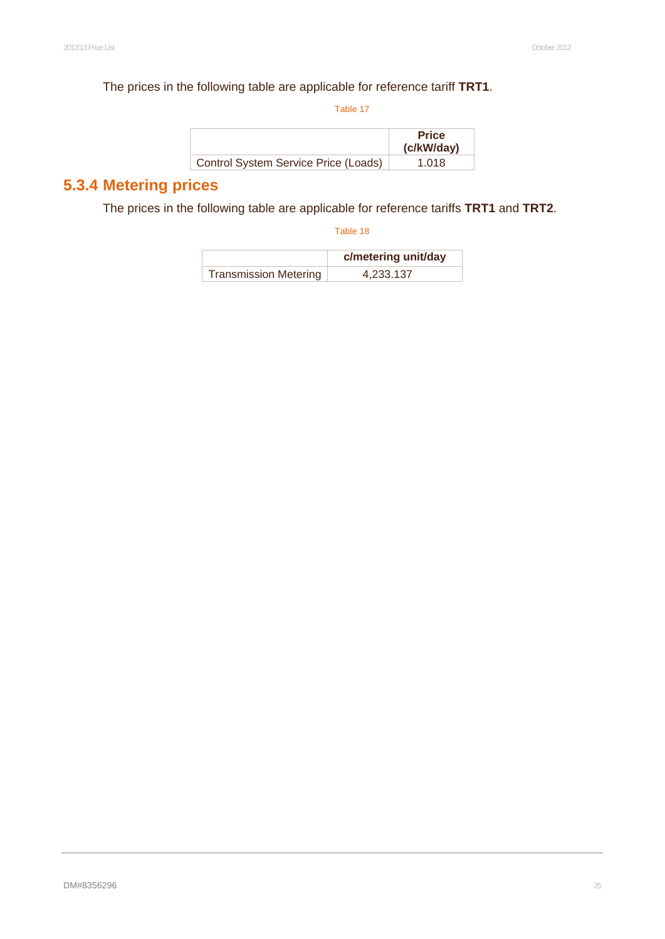#### The prices in the following table are applicable for reference tariff **TRT1**.

Table 17

|                                      | <b>Price</b><br>(c/kW/day) |
|--------------------------------------|----------------------------|
| Control System Service Price (Loads) | 1.018                      |

# **5.3.4 Metering prices**

The prices in the following table are applicable for reference tariffs **TRT1** and **TRT2**.

|                              | c/metering unit/day |
|------------------------------|---------------------|
| <b>Transmission Metering</b> | 4,233.137           |